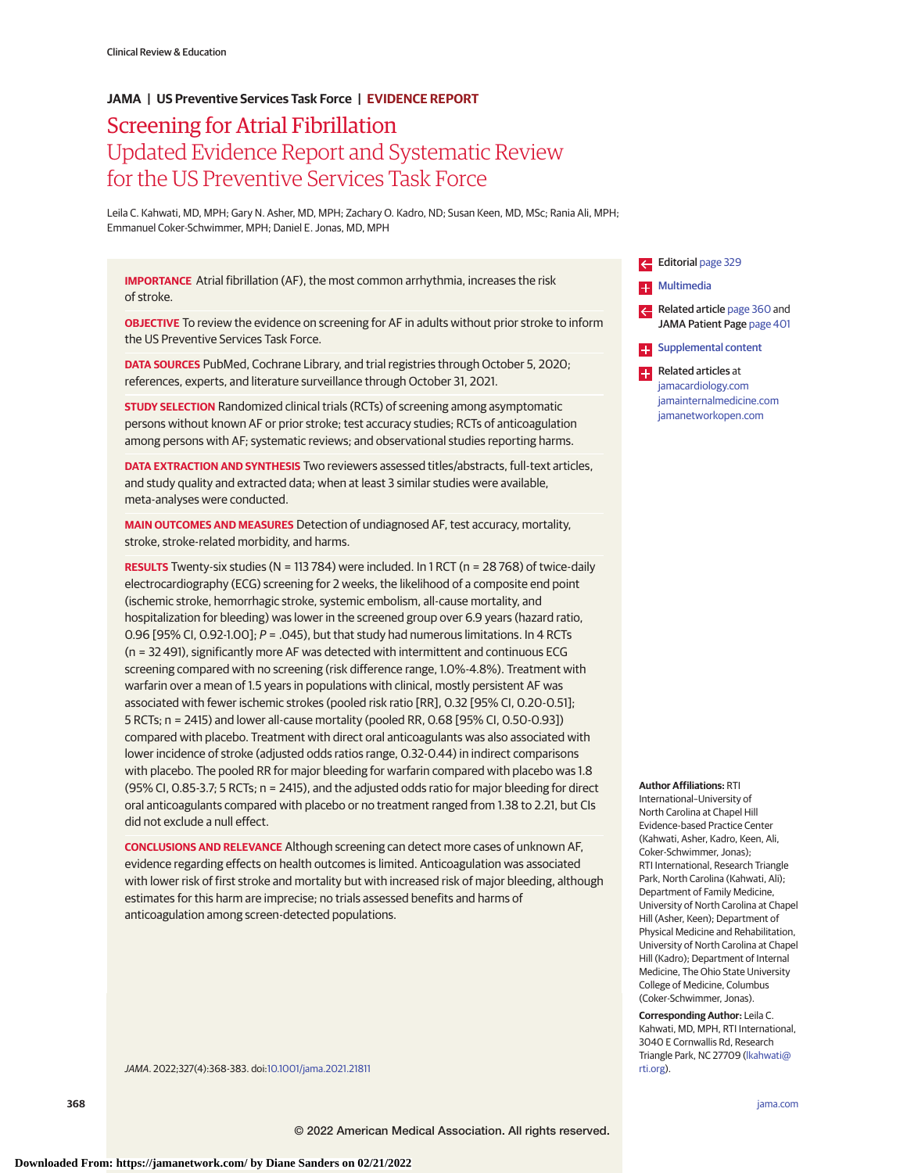# Screening for Atrial Fibrillation Updated Evidence Report and Systematic Review for the US Preventive Services Task Force **JAMA | US Preventive Services Task Force | EVIDENCE REPORT**

Leila C. Kahwati, MD, MPH; Gary N. Asher, MD, MPH; Zachary O. Kadro, ND; Susan Keen, MD, MSc; Rania Ali, MPH; Emmanuel Coker-Schwimmer, MPH; Daniel E. Jonas, MD, MPH

**IMPORTANCE** Atrial fibrillation (AF), the most common arrhythmia, increases the risk of stroke.

**OBJECTIVE** To review the evidence on screening for AF in adults without prior stroke to inform the US Preventive Services Task Force.

**DATA SOURCES** PubMed, Cochrane Library, and trial registries through October 5, 2020; references, experts, and literature surveillance through October 31, 2021.

**STUDY SELECTION** Randomized clinical trials (RCTs) of screening among asymptomatic persons without known AF or prior stroke; test accuracy studies; RCTs of anticoagulation among persons with AF; systematic reviews; and observational studies reporting harms.

**DATA EXTRACTION AND SYNTHESIS** Two reviewers assessed titles/abstracts, full-text articles, and study quality and extracted data; when at least 3 similar studies were available, meta-analyses were conducted.

**MAIN OUTCOMES AND MEASURES** Detection of undiagnosed AF, test accuracy, mortality, stroke, stroke-related morbidity, and harms.

**RESULTS** Twenty-six studies (N = 113 784) were included. In 1 RCT (n = 28 768) of twice-daily electrocardiography (ECG) screening for 2 weeks, the likelihood of a composite end point (ischemic stroke, hemorrhagic stroke, systemic embolism, all-cause mortality, and hospitalization for bleeding) was lower in the screened group over 6.9 years (hazard ratio, 0.96 [95% CI, 0.92-1.00];  $P = .045$ ), but that study had numerous limitations. In 4 RCTs (n = 32 491), significantly more AF was detected with intermittent and continuous ECG screening compared with no screening (risk difference range, 1.0%-4.8%). Treatment with warfarin over a mean of 1.5 years in populations with clinical, mostly persistent AF was associated with fewer ischemic strokes (pooled risk ratio [RR], 0.32 [95% CI, 0.20-0.51]; 5 RCTs; n = 2415) and lower all-cause mortality (pooled RR, 0.68 [95% CI, 0.50-0.93]) compared with placebo. Treatment with direct oral anticoagulants was also associated with lower incidence of stroke (adjusted odds ratios range, 0.32-0.44) in indirect comparisons with placebo. The pooled RR for major bleeding for warfarin compared with placebo was 1.8 (95% CI, 0.85-3.7; 5 RCTs; n = 2415), and the adjusted odds ratio for major bleeding for direct oral anticoagulants compared with placebo or no treatment ranged from 1.38 to 2.21, but CIs did not exclude a null effect.

**CONCLUSIONS AND RELEVANCE** Although screening can detect more cases of unknown AF, evidence regarding effects on health outcomes is limited. Anticoagulation was associated with lower risk of first stroke and mortality but with increased risk of major bleeding, although estimates for this harm are imprecise; no trials assessed benefits and harms of anticoagulation among screen-detected populations.





**Author Affiliations:** RTI

International–University of North Carolina at Chapel Hill Evidence-based Practice Center (Kahwati, Asher, Kadro, Keen, Ali, Coker-Schwimmer, Jonas); RTI International, Research Triangle Park, North Carolina (Kahwati, Ali); Department of Family Medicine, University of North Carolina at Chapel Hill (Asher, Keen); Department of Physical Medicine and Rehabilitation, University of North Carolina at Chapel Hill (Kadro); Department of Internal Medicine, The Ohio State University College of Medicine, Columbus (Coker-Schwimmer, Jonas).

**Corresponding Author:** Leila C. Kahwati, MD, MPH, RTI International, 3040 E Cornwallis Rd, Research Triangle Park, NC 27709 [\(lkahwati@](mailto:lkahwati@rti.org) [rti.org\)](mailto:lkahwati@rti.org).

JAMA. 2022;327(4):368-383. doi[:10.1001/jama.2021.21811](https://jamanetwork.com/journals/jama/fullarticle/10.1001/jama.2021.21811?utm_campaign=articlePDF%26utm_medium=articlePDFlink%26utm_source=articlePDF%26utm_content=jama.2021.21811)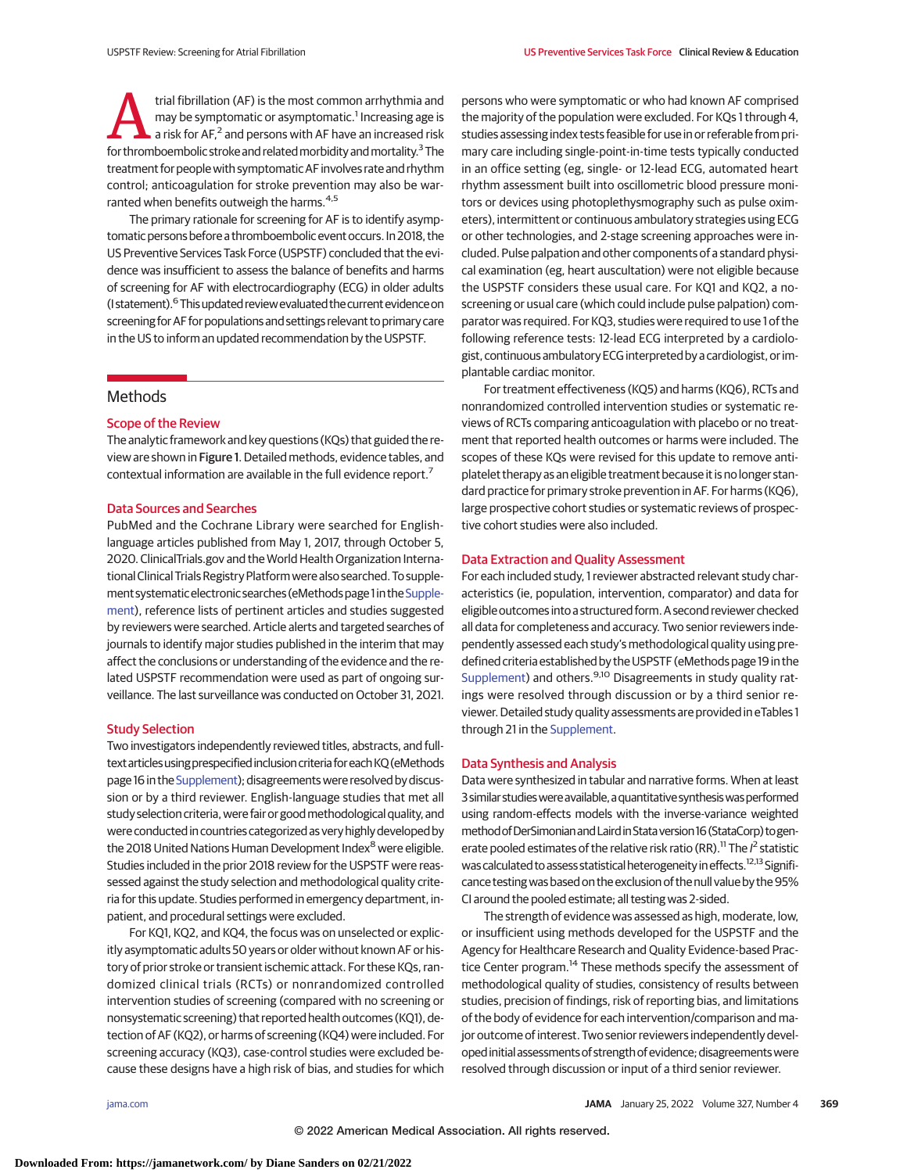trial fibrillation (AF) is the most common arrhythmia and<br>
may be symptomatic or asymptomatic.<sup>1</sup> Increasing age is<br>
a risk for AF,<sup>2</sup> and persons with AF have an increased risk<br>
for thromboembolic stroke and related morbi may be symptomatic or asymptomatic.<sup>1</sup> Increasing age is for thromboembolic stroke and related morbidity and mortality.<sup>3</sup> The treatment for people with symptomatic AF involves rate and rhythm control; anticoagulation for stroke prevention may also be warranted when benefits outweigh the harms.<sup>4,5</sup>

The primary rationale for screening for AF is to identify asymptomatic persons before a thromboembolic event occurs. In 2018, the US Preventive Services Task Force (USPSTF) concluded that the evidence was insufficient to assess the balance of benefits and harms of screening for AF with electrocardiography (ECG) in older adults (I statement).<sup>6</sup> This updated review evaluated the current evidence on screening for AF for populations and settings relevant to primary care in the US to inform an updated recommendation by the USPSTF.

# **Methods**

# Scope of the Review

The analytic framework and key questions (KQs) that guided the review are shown in Figure 1. Detailed methods, evidence tables, and contextual information are available in the full evidence report.<sup>7</sup>

## Data Sources and Searches

PubMed and the Cochrane Library were searched for Englishlanguage articles published from May 1, 2017, through October 5, 2020. ClinicalTrials.gov and the World Health Organization International Clinical Trials Registry Platform were also searched. To supple-ment systematic electronic searches (eMethods page 1 in the [Supple](https://jamanetwork.com/journals/jama/fullarticle/10.1001/jama.2021.21811?utm_campaign=articlePDF%26utm_medium=articlePDFlink%26utm_source=articlePDF%26utm_content=jama.2021.21811)[ment\)](https://jamanetwork.com/journals/jama/fullarticle/10.1001/jama.2021.21811?utm_campaign=articlePDF%26utm_medium=articlePDFlink%26utm_source=articlePDF%26utm_content=jama.2021.21811), reference lists of pertinent articles and studies suggested by reviewers were searched. Article alerts and targeted searches of journals to identify major studies published in the interim that may affect the conclusions or understanding of the evidence and the related USPSTF recommendation were used as part of ongoing surveillance. The last surveillance was conducted on October 31, 2021.

## Study Selection

Two investigators independently reviewed titles, abstracts, and fulltext articles using prespecified inclusion criteria for each KQ (eMethods page 16 in the [Supplement\)](https://jamanetwork.com/journals/jama/fullarticle/10.1001/jama.2021.21811?utm_campaign=articlePDF%26utm_medium=articlePDFlink%26utm_source=articlePDF%26utm_content=jama.2021.21811); disagreements were resolved by discussion or by a third reviewer. English-language studies that met all study selection criteria, were fair or good methodological quality, and were conducted in countries categorized as very highly developed by the 2018 United Nations Human Development Index<sup>8</sup> were eligible. Studies included in the prior 2018 review for the USPSTF were reassessed against the study selection and methodological quality criteria for this update. Studies performed in emergency department, inpatient, and procedural settings were excluded.

For KQ1, KQ2, and KQ4, the focus was on unselected or explicitly asymptomatic adults 50 years or older without known AF or history of prior stroke or transient ischemic attack. For these KQs, randomized clinical trials (RCTs) or nonrandomized controlled intervention studies of screening (compared with no screening or nonsystematic screening) that reported health outcomes (KQ1), detection of AF (KQ2), or harms of screening (KQ4) were included. For screening accuracy (KQ3), case-control studies were excluded because these designs have a high risk of bias, and studies for which persons who were symptomatic or who had known AF comprised the majority of the population were excluded. For KQs 1 through 4, studies assessing index tests feasible for use in or referable from primary care including single-point-in-time tests typically conducted in an office setting (eg, single- or 12-lead ECG, automated heart rhythm assessment built into oscillometric blood pressure monitors or devices using photoplethysmography such as pulse oximeters), intermittent or continuous ambulatory strategies using ECG or other technologies, and 2-stage screening approaches were included. Pulse palpation and other components of a standard physical examination (eg, heart auscultation) were not eligible because the USPSTF considers these usual care. For KQ1 and KQ2, a noscreening or usual care (which could include pulse palpation) comparator was required. For KQ3, studies were required to use 1 of the following reference tests: 12-lead ECG interpreted by a cardiologist, continuous ambulatory ECG interpreted by a cardiologist, or implantable cardiac monitor.

For treatment effectiveness (KQ5) and harms (KQ6), RCTs and nonrandomized controlled intervention studies or systematic reviews of RCTs comparing anticoagulation with placebo or no treatment that reported health outcomes or harms were included. The scopes of these KQs were revised for this update to remove antiplatelet therapy as an eligible treatment because it is no longer standard practice for primary stroke prevention in AF. For harms (KQ6), large prospective cohort studies or systematic reviews of prospective cohort studies were also included.

# Data Extraction and Quality Assessment

For each included study, 1 reviewer abstracted relevant study characteristics (ie, population, intervention, comparator) and data for eligible outcomes into a structured form. A second reviewer checked all data for completeness and accuracy. Two senior reviewers independently assessed each study's methodological quality using predefined criteria established by the USPSTF (eMethods page 19 in the [Supplement\)](https://jamanetwork.com/journals/jama/fullarticle/10.1001/jama.2021.21811?utm_campaign=articlePDF%26utm_medium=articlePDFlink%26utm_source=articlePDF%26utm_content=jama.2021.21811) and others.<sup>9,10</sup> Disagreements in study quality ratings were resolved through discussion or by a third senior reviewer. Detailed study quality assessments are provided in eTables 1 through 21 in the [Supplement.](https://jamanetwork.com/journals/jama/fullarticle/10.1001/jama.2021.21811?utm_campaign=articlePDF%26utm_medium=articlePDFlink%26utm_source=articlePDF%26utm_content=jama.2021.21811)

#### Data Synthesis and Analysis

Data were synthesized in tabular and narrative forms. When at least 3 similar studies were available, a quantitative synthesis was performed using random-effects models with the inverse-variance weighted methodofDerSimonianandLairdinStataversion 16 (StataCorp) togenerate pooled estimates of the relative risk ratio (RR).<sup>11</sup> The  $l^2$  statistic was calculated to assess statistical heterogeneity in effects.<sup>12,13</sup> Significance testing was based on the exclusion of the null value by the 95% CI around the pooled estimate; all testing was 2-sided.

The strength of evidence was assessed as high, moderate, low, or insufficient using methods developed for the USPSTF and the Agency for Healthcare Research and Quality Evidence-based Practice Center program.<sup>14</sup> These methods specify the assessment of methodological quality of studies, consistency of results between studies, precision of findings, risk of reporting bias, and limitations of the body of evidence for each intervention/comparison and major outcome of interest. Two senior reviewers independently developed initial assessments of strength of evidence; disagreements were resolved through discussion or input of a third senior reviewer.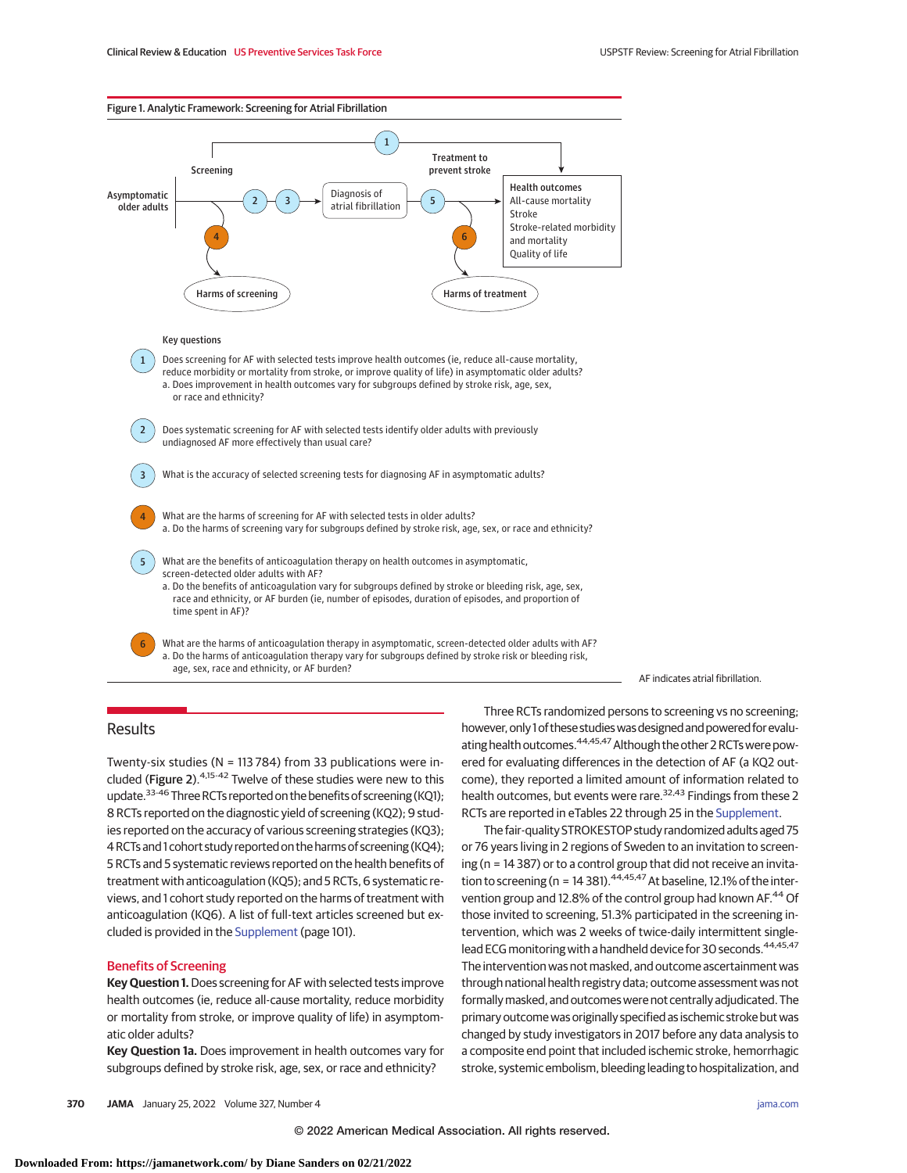

a. Does improvement in health outcomes vary for subgroups defined by stroke risk, age, sex, or race and ethnicity?

Does systematic screening for AF with selected tests identify older adults with previously undiagnosed AF more effectively than usual care?

3 What is the accuracy of selected screening tests for diagnosing AF in asymptomatic adults?

- What are the harms of screening for AF with selected tests in older adults? a. Do the harms of screening vary for subgroups defined by stroke risk, age, sex, or race and ethnicity?
- What are the benefits of anticoagulation therapy on health outcomes in asymptomatic, screen-detected older adults with AF?
	- a. Do the benefits of anticoagulation vary for subgroups defined by stroke or bleeding risk, age, sex, race and ethnicity, or AF burden (ie, number of episodes, duration of episodes, and proportion of time spent in AF)?

What are the harms of anticoagulation therapy in asymptomatic, screen-detected older adults with AF? a. Do the harms of anticoagulation therapy vary for subgroups defined by stroke risk or bleeding risk, age, sex, race and ethnicity, or AF burden?

#### AF indicates atrial fibrillation.

# Results

5

6

4

2

Twenty-six studies (N = 113 784) from 33 publications were included (Figure 2).4,15-42 Twelve of these studies were new to this update.<sup>33-46</sup> Three RCTs reported on the benefits of screening (KQ1); 8 RCTs reported on the diagnostic yield of screening (KQ2); 9 studies reported on the accuracy of various screening strategies (KQ3); 4 RCTs and 1 cohort study reported on the harms of screening (KQ4); 5 RCTs and 5 systematic reviews reported on the health benefits of treatment with anticoagulation (KQ5); and 5 RCTs, 6 systematic reviews, and 1 cohort study reported on the harms of treatment with anticoagulation (KQ6). A list of full-text articles screened but excluded is provided in the [Supplement](https://jamanetwork.com/journals/jama/fullarticle/10.1001/jama.2021.21811?utm_campaign=articlePDF%26utm_medium=articlePDFlink%26utm_source=articlePDF%26utm_content=jama.2021.21811) (page 101).

#### Benefits of Screening

**Key Question 1.**Does screening for AF with selected tests improve health outcomes (ie, reduce all-cause mortality, reduce morbidity or mortality from stroke, or improve quality of life) in asymptomatic older adults?

**Key Question 1a.** Does improvement in health outcomes vary for subgroups defined by stroke risk, age, sex, or race and ethnicity?

Three RCTs randomized persons to screening vs no screening; however, only 1 of these studies was designed and powered for evaluating health outcomes.<sup>44,45,47</sup> Although the other 2 RCTs were powered for evaluating differences in the detection of AF (a KQ2 outcome), they reported a limited amount of information related to health outcomes, but events were rare.<sup>32,43</sup> Findings from these 2 RCTs are reported in eTables 22 through 25 in the [Supplement.](https://jamanetwork.com/journals/jama/fullarticle/10.1001/jama.2021.21811?utm_campaign=articlePDF%26utm_medium=articlePDFlink%26utm_source=articlePDF%26utm_content=jama.2021.21811)

The fair-quality STROKESTOP study randomized adults aged 75 or 76 years living in 2 regions of Sweden to an invitation to screening (n = 14 387) or to a control group that did not receive an invitation to screening (n = 14 381).  $44,45,47$  At baseline, 12.1% of the intervention group and 12.8% of the control group had known AF.<sup>44</sup> Of those invited to screening, 51.3% participated in the screening intervention, which was 2 weeks of twice-daily intermittent singlelead ECG monitoring with a handheld device for 30 seconds.<sup>44,45,47</sup> The intervention was not masked, and outcome ascertainment was through national health registry data; outcome assessment was not formally masked, and outcomes were not centrally adjudicated. The primary outcome was originally specified as ischemic stroke but was changed by study investigators in 2017 before any data analysis to a composite end point that included ischemic stroke, hemorrhagic stroke, systemic embolism, bleeding leading to hospitalization, and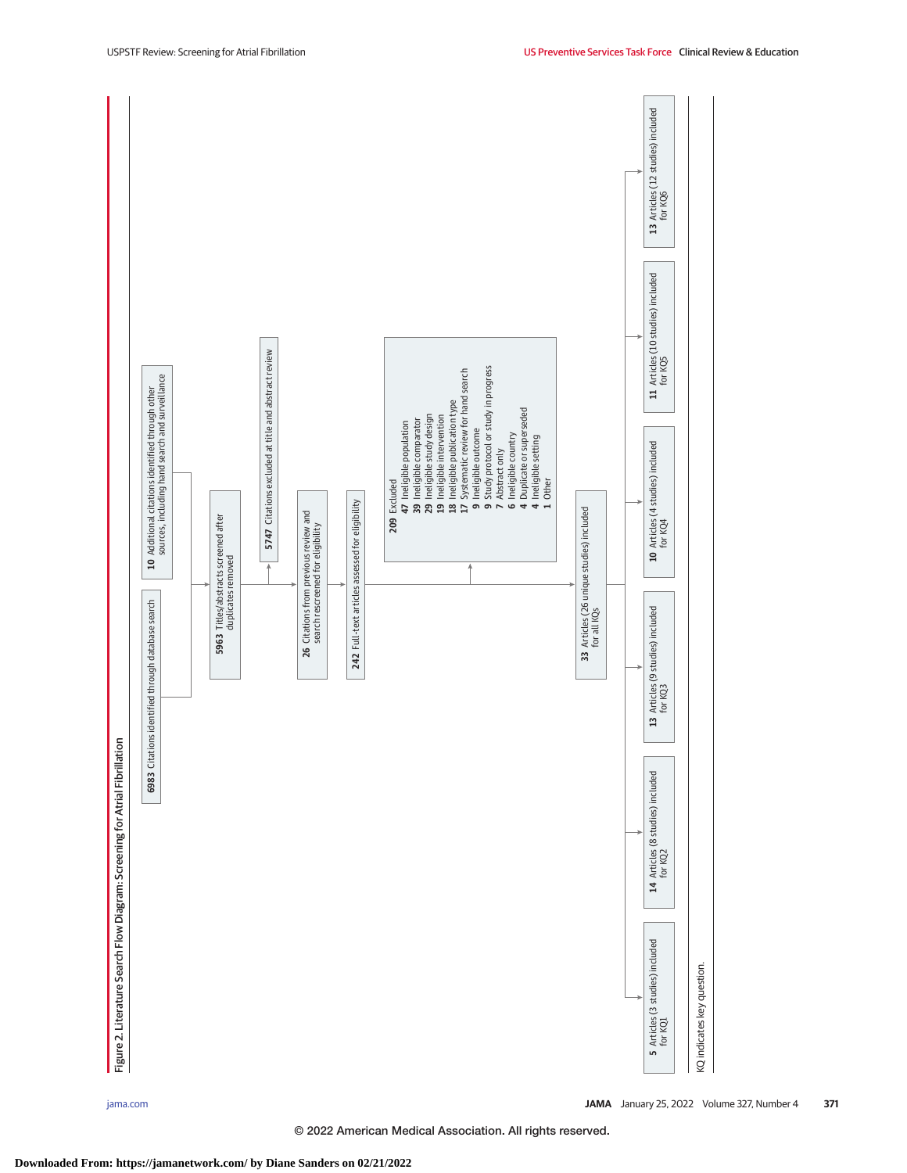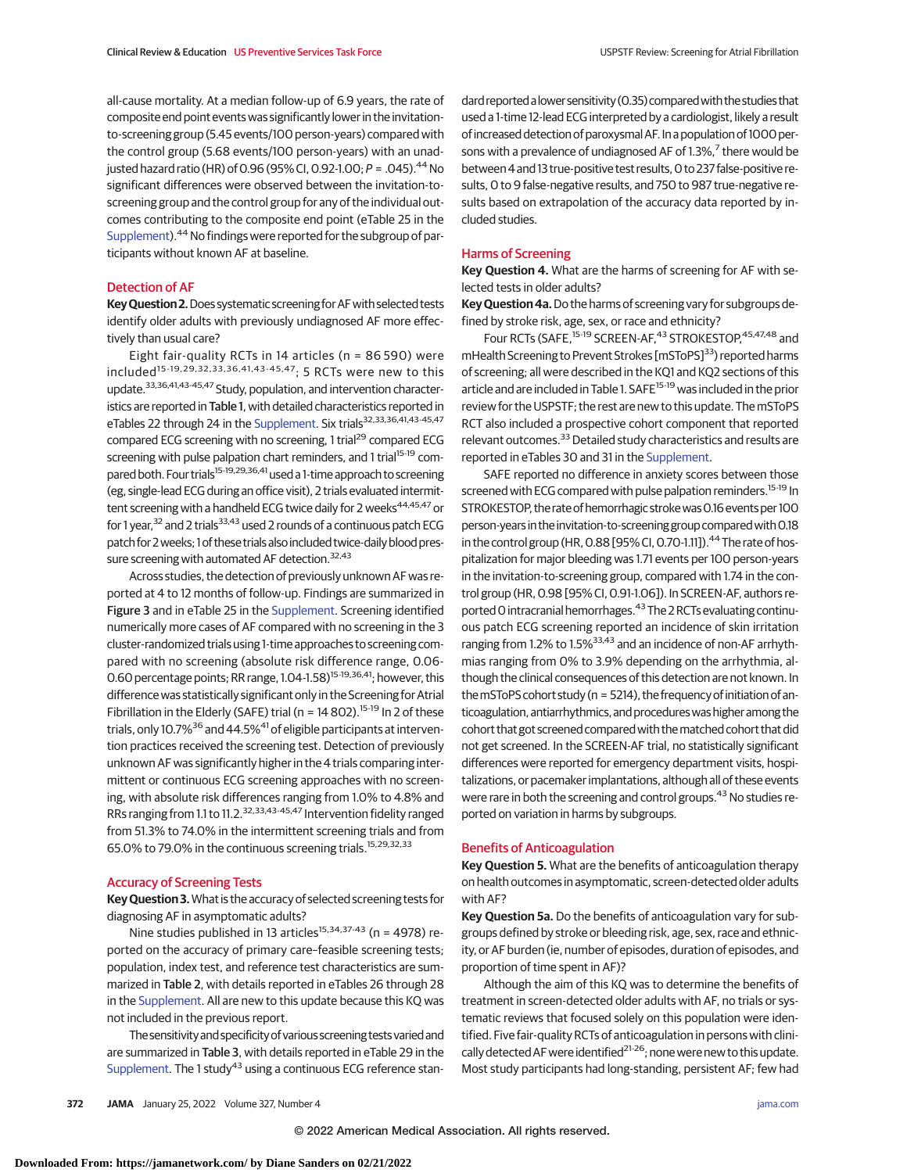all-cause mortality. At a median follow-up of 6.9 years, the rate of composite end point events was significantly lower in the invitationto-screening group (5.45 events/100 person-years) compared with the control group (5.68 events/100 person-years) with an unadjusted hazard ratio (HR) of 0.96 (95% CI, 0.92-1.00;  $P = .045$ ).<sup>44</sup> No significant differences were observed between the invitation-toscreening group and the control group for any of the individual outcomes contributing to the composite end point (eTable 25 in the [Supplement\)](https://jamanetwork.com/journals/jama/fullarticle/10.1001/jama.2021.21811?utm_campaign=articlePDF%26utm_medium=articlePDFlink%26utm_source=articlePDF%26utm_content=jama.2021.21811).<sup>44</sup> No findings were reported for the subgroup of participants without known AF at baseline.

#### Detection of AF

**Key Question 2.** Does systematic screening for AF with selected tests identify older adults with previously undiagnosed AF more effectively than usual care?

Eight fair-quality RCTs in 14 articles (n = 86 590) were included<sup>15-19,29,32,33,36,41,43-45,47</sup>; 5 RCTs were new to this update.33,36,41,43-45,47 Study, population, and intervention characteristics are reported in Table 1, with detailed characteristics reported in eTables 22 through 24 in the [Supplement.](https://jamanetwork.com/journals/jama/fullarticle/10.1001/jama.2021.21811?utm_campaign=articlePDF%26utm_medium=articlePDFlink%26utm_source=articlePDF%26utm_content=jama.2021.21811) Six trials<sup>32,33,36,41,43-45,47</sup> compared ECG screening with no screening, 1 trial<sup>29</sup> compared ECG screening with pulse palpation chart reminders, and 1 trial<sup>15-19</sup> compared both. Four trials<sup>15-19,29,36,41</sup> used a 1-time approach to screening (eg, single-lead ECG during an office visit), 2 trials evaluated intermittent screening with a handheld ECG twice daily for 2 weeks<sup>44,45,47</sup> or for 1 year,<sup>32</sup> and 2 trials<sup>33,43</sup> used 2 rounds of a continuous patch ECG patch for 2 weeks; 1 of these trials also included twice-daily blood pressure screening with automated AF detection.<sup>32,43</sup>

Across studies, the detection of previously unknown AF was reported at 4 to 12 months of follow-up. Findings are summarized in Figure 3 and in eTable 25 in the [Supplement.](https://jamanetwork.com/journals/jama/fullarticle/10.1001/jama.2021.21811?utm_campaign=articlePDF%26utm_medium=articlePDFlink%26utm_source=articlePDF%26utm_content=jama.2021.21811) Screening identified numerically more cases of AF compared with no screening in the 3 cluster-randomized trials using 1-time approaches to screening compared with no screening (absolute risk difference range, 0.06- 0.60 percentage points; RR range, 1.04-1.58)<sup>15-19,36,41</sup>; however, this difference was statistically significant only in the Screening for Atrial Fibrillation in the Elderly (SAFE) trial (n = 14 802).<sup>15-19</sup> In 2 of these trials, only 10.7%<sup>36</sup> and 44.5%<sup>41</sup> of eligible participants at intervention practices received the screening test. Detection of previously unknown AF was significantly higher in the 4 trials comparing intermittent or continuous ECG screening approaches with no screening, with absolute risk differences ranging from 1.0% to 4.8% and RRs ranging from 1.1 to 11.2.32,33,43-45,47 Intervention fidelity ranged from 51.3% to 74.0% in the intermittent screening trials and from 65.0% to 79.0% in the continuous screening trials.15,29,32,33

#### Accuracy of Screening Tests

**Key Question 3.**What is the accuracy of selected screening tests for diagnosing AF in asymptomatic adults?

Nine studies published in 13 articles<sup>15,34,37-43</sup> (n = 4978) reported on the accuracy of primary care–feasible screening tests; population, index test, and reference test characteristics are summarized in Table 2, with details reported in eTables 26 through 28 in the [Supplement.](https://jamanetwork.com/journals/jama/fullarticle/10.1001/jama.2021.21811?utm_campaign=articlePDF%26utm_medium=articlePDFlink%26utm_source=articlePDF%26utm_content=jama.2021.21811) All are new to this update because this KQ was not included in the previous report.

The sensitivity and specificity of various screening tests varied and are summarized in Table 3, with details reported in eTable 29 in the [Supplement.](https://jamanetwork.com/journals/jama/fullarticle/10.1001/jama.2021.21811?utm_campaign=articlePDF%26utm_medium=articlePDFlink%26utm_source=articlePDF%26utm_content=jama.2021.21811) The 1 study $43$  using a continuous ECG reference standard reported a lower sensitivity (0.35) compared with the studies that used a 1-time 12-lead ECG interpreted by a cardiologist, likely a result of increased detection of paroxysmalAF.In a population of 1000 persons with a prevalence of undiagnosed AF of  $1.3\%$ , there would be between 4 and 13 true-positive test results, 0 to 237 false-positive results, 0 to 9 false-negative results, and 750 to 987 true-negative results based on extrapolation of the accuracy data reported by included studies.

# Harms of Screening

**Key Question 4.** What are the harms of screening for AF with selected tests in older adults?

**Key Question 4a.**Do the harms of screening vary for subgroups defined by stroke risk, age, sex, or race and ethnicity?

Four RCTs (SAFE, <sup>15-19</sup> SCREEN-AF, <sup>43</sup> STROKESTOP, <sup>45, 47, 48</sup> and mHealth Screening to Prevent Strokes [mSToPS]<sup>33</sup>) reported harms of screening; all were described in the KQ1 and KQ2 sections of this article and are included in Table 1. SAFE<sup>15-19</sup> was included in the prior review for the USPSTF; the rest are new to this update. The mSToPS RCT also included a prospective cohort component that reported relevant outcomes.<sup>33</sup> Detailed study characteristics and results are reported in eTables 30 and 31 in the [Supplement.](https://jamanetwork.com/journals/jama/fullarticle/10.1001/jama.2021.21811?utm_campaign=articlePDF%26utm_medium=articlePDFlink%26utm_source=articlePDF%26utm_content=jama.2021.21811)

SAFE reported no difference in anxiety scores between those screened with ECG compared with pulse palpation reminders.<sup>15-19</sup> In STROKESTOP, the rate of hemorrhagic stroke was 0.16 events per 100 person-years in the invitation-to-screening group compared with 0.18 in the control group (HR, 0.88 [95% CI, 0.70-1.11]).<sup>44</sup> The rate of hospitalization for major bleeding was 1.71 events per 100 person-years in the invitation-to-screening group, compared with 1.74 in the control group (HR, 0.98 [95% CI, 0.91-1.06]). In SCREEN-AF, authors reported 0 intracranial hemorrhages.<sup>43</sup> The 2 RCTs evaluating continuous patch ECG screening reported an incidence of skin irritation ranging from 1.2% to 1.5%<sup>33,43</sup> and an incidence of non-AF arrhythmias ranging from 0% to 3.9% depending on the arrhythmia, although the clinical consequences of this detection are not known. In themSToPS cohort study (n = 5214), the frequency of initiation of anticoagulation, antiarrhythmics, and procedures was higher among the cohort that got screened comparedwith thematched cohort that did not get screened. In the SCREEN-AF trial, no statistically significant differences were reported for emergency department visits, hospitalizations, or pacemaker implantations, although all of these events were rare in both the screening and control groups.<sup>43</sup> No studies reported on variation in harms by subgroups.

# Benefits of Anticoagulation

**Key Question 5.** What are the benefits of anticoagulation therapy on health outcomes in asymptomatic, screen-detected older adults with AF?

**Key Question 5a.** Do the benefits of anticoagulation vary for subgroups defined by stroke or bleeding risk, age, sex, race and ethnicity, or AF burden (ie, number of episodes, duration of episodes, and proportion of time spent in AF)?

Although the aim of this KQ was to determine the benefits of treatment in screen-detected older adults with AF, no trials or systematic reviews that focused solely on this population were identified. Five fair-quality RCTs of anticoagulation in persons with clinically detected AF were identified<sup>21-26</sup>; none were new to this update. Most study participants had long-standing, persistent AF; few had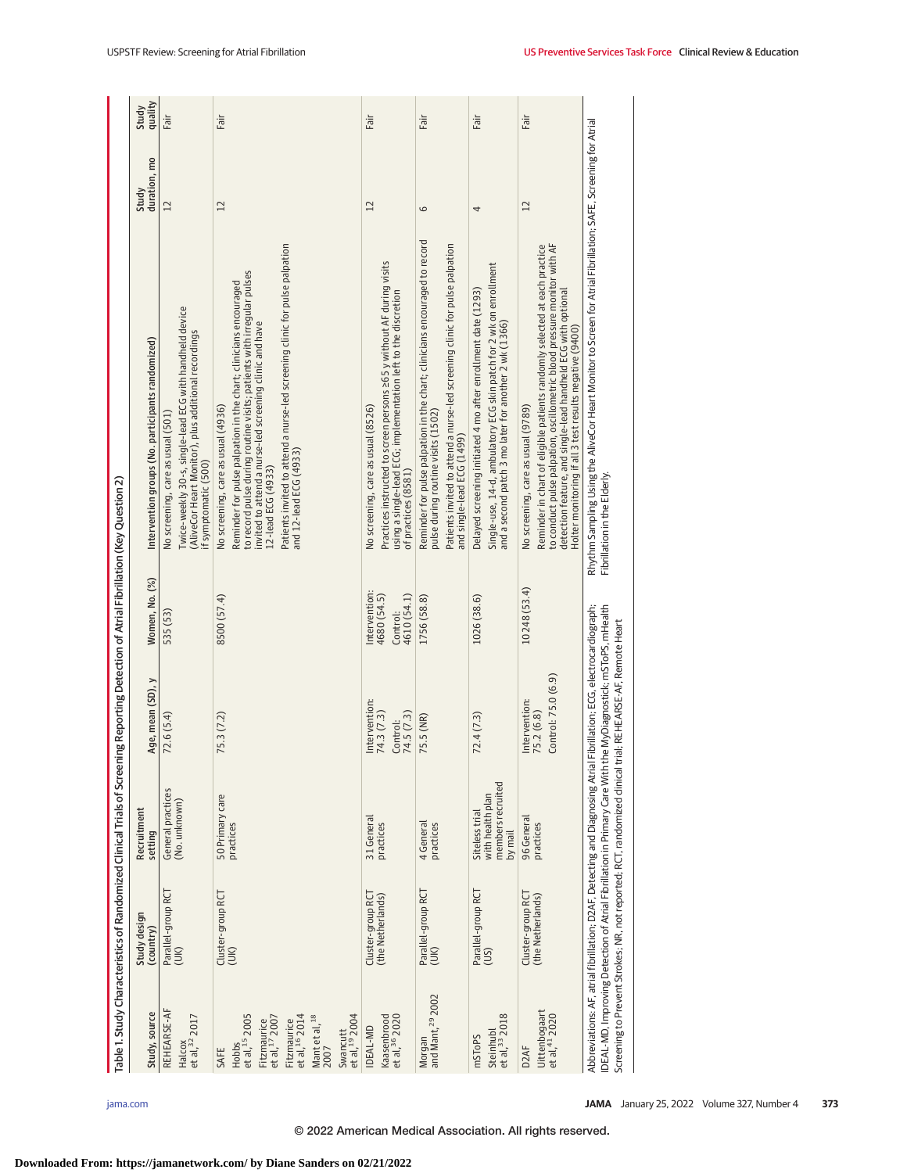| Fair<br>Fair<br>Fair<br>Fair<br>$\overline{12}$<br>12<br>6<br>4<br>Reminder for pulse palpation in the chart; clinicians encouraged to record<br>Patients invited to attend a nurse-led screening clinic for pulse palpation<br>Patients invited to attend a nurse-led screening clinic for pulse palpation<br>to conduct pulse palpation, oscillometric blood pressure monitor with AF<br>Reminder in chart of eligible patients randomly selected at each practice<br>Practices instructed to screen persons 265 y without AF during visits<br>Single-use, 14-d, ambulatory ECG skin patch for 2 wk on enrollment<br>detection feature, and single-lead handheld ECG with optional<br>Delayed screening initiated 4 mo after enrollment date (1293)<br>using a single-lead ECG; implementation left to the discretion<br>and a second patch 3 mo later for another 2 wk (1366)<br>Holter monitoring if all 3 test results negative (9400)<br>No screening, care as usual (8526)<br>No screening, care as usual (9789)<br>pulse during routine visits (1502)<br>and single-lead ECG (1499)<br>and 12-lead ECG (4933)<br>12-lead ECG (4933)<br>of practices (8581)<br>10 248 (53.4)<br>ntervention:<br>4610 (54.1)<br>4680 (54.5)<br>1756 (58.8)<br>1026 (38.6)<br>Control:<br>Control: 75.0 (6.9)<br>Intervention:<br>Intervention:<br>74.5(7.3)<br>75.2 (6.8)<br>74.3 (7.3)<br>72.4(7.3)<br>75.5 (NR)<br>Control: |
|---------------------------------------------------------------------------------------------------------------------------------------------------------------------------------------------------------------------------------------------------------------------------------------------------------------------------------------------------------------------------------------------------------------------------------------------------------------------------------------------------------------------------------------------------------------------------------------------------------------------------------------------------------------------------------------------------------------------------------------------------------------------------------------------------------------------------------------------------------------------------------------------------------------------------------------------------------------------------------------------------------------------------------------------------------------------------------------------------------------------------------------------------------------------------------------------------------------------------------------------------------------------------------------------------------------------------------------------------------------------------------------------------------------------|
|                                                                                                                                                                                                                                                                                                                                                                                                                                                                                                                                                                                                                                                                                                                                                                                                                                                                                                                                                                                                                                                                                                                                                                                                                                                                                                                                                                                                                     |
|                                                                                                                                                                                                                                                                                                                                                                                                                                                                                                                                                                                                                                                                                                                                                                                                                                                                                                                                                                                                                                                                                                                                                                                                                                                                                                                                                                                                                     |
|                                                                                                                                                                                                                                                                                                                                                                                                                                                                                                                                                                                                                                                                                                                                                                                                                                                                                                                                                                                                                                                                                                                                                                                                                                                                                                                                                                                                                     |
|                                                                                                                                                                                                                                                                                                                                                                                                                                                                                                                                                                                                                                                                                                                                                                                                                                                                                                                                                                                                                                                                                                                                                                                                                                                                                                                                                                                                                     |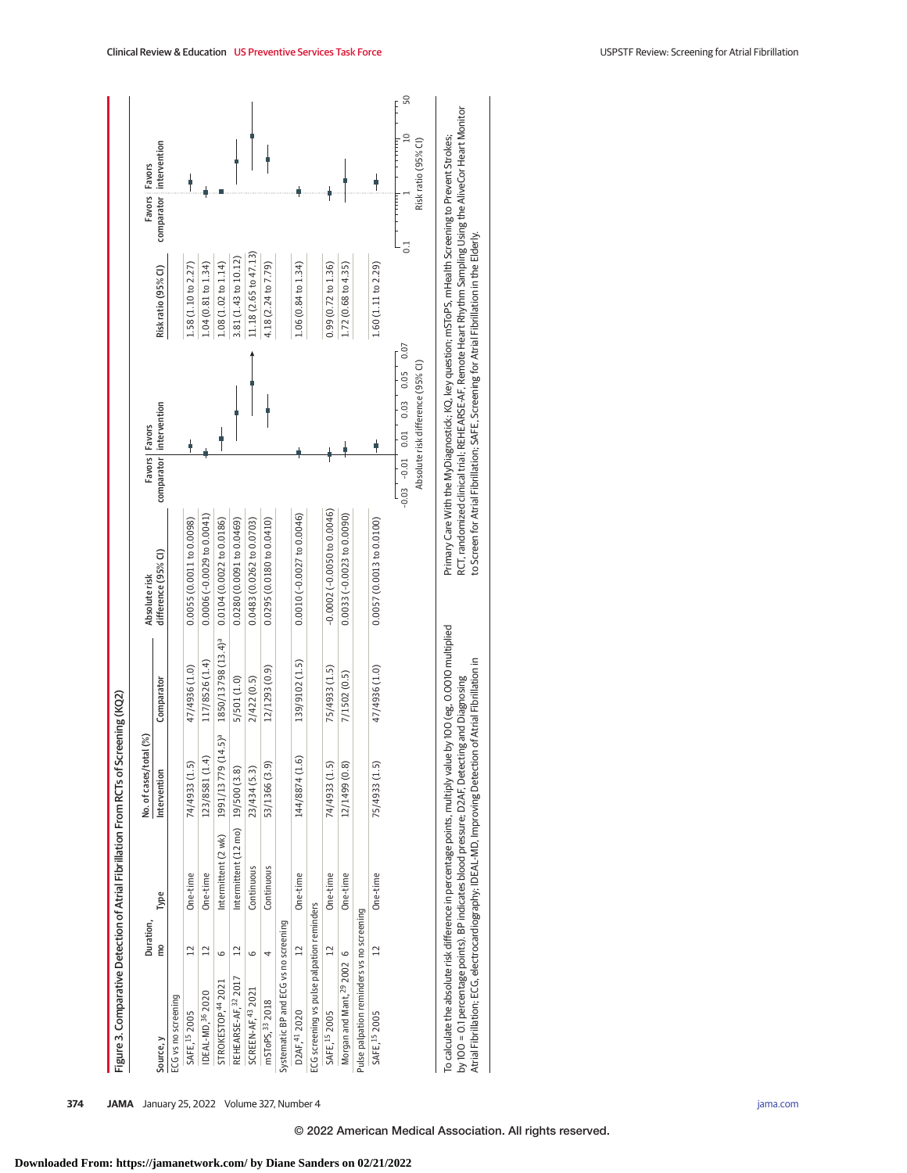| Figure 3. Comparative Detection of Atrial Fibrillation From RCTs of Screening (KQ2)                                                                                                                          |                 |                                                 |                                |                                |                               |                           |                                                                                                                                                                                                                    |                       |                         |                     |
|--------------------------------------------------------------------------------------------------------------------------------------------------------------------------------------------------------------|-----------------|-------------------------------------------------|--------------------------------|--------------------------------|-------------------------------|---------------------------|--------------------------------------------------------------------------------------------------------------------------------------------------------------------------------------------------------------------|-----------------------|-------------------------|---------------------|
|                                                                                                                                                                                                              | Duration,       |                                                 | No. of cases/total (%)         |                                | Absolute risk                 | Favors   Favors           |                                                                                                                                                                                                                    |                       | Favors : Favors         |                     |
| Source, y                                                                                                                                                                                                    | mo              | Type                                            | Intervention                   | Comparator                     | difference (95% CI)           | comparator   intervention |                                                                                                                                                                                                                    | Risk ratio (95% CI)   | comparator intervention |                     |
| ECG vs no screening                                                                                                                                                                                          |                 |                                                 |                                |                                |                               |                           |                                                                                                                                                                                                                    |                       |                         |                     |
| SAFE, 15 2005                                                                                                                                                                                                | $\overline{12}$ | One-time                                        | 74/4933 (1.5)                  | 47/4936 (1.0)                  | 0.0055 (0.0011 to 0.0098)     |                           |                                                                                                                                                                                                                    | L.58 (1.10 to 2.27)   |                         |                     |
| IDEAL-MD, 36 2020                                                                                                                                                                                            | $\overline{12}$ | One-time                                        | 123/8581 (1.4)                 | 117/8526 (1.4)                 | 0.0006 (-0.0029 to 0.0041)    |                           |                                                                                                                                                                                                                    | 1.04 (0.81 to 1.34)   |                         |                     |
| STROKESTOP, 44 2021                                                                                                                                                                                          | G               | Intermittent (2 wk)                             | 1991/13779 (14.5) <sup>a</sup> | 1850/13798 (13.4) <sup>a</sup> | 0.0104(0.0022 to 0.0186)      |                           |                                                                                                                                                                                                                    | 1.08 (1.02 to 1.14)   |                         |                     |
| REHEARSE-AF, 32 2017                                                                                                                                                                                         | $\overline{12}$ | Intermittent $(12 \text{ mo})$ $19/500$ $(3.8)$ |                                | 5/501 (1.0)                    | 0.0280 (0.0091 to 0.0469)     |                           |                                                                                                                                                                                                                    | 3.81 (1.43 to 10.12)  |                         |                     |
| SCREEN-AF, 43 2021                                                                                                                                                                                           | G               | Continuous                                      | 23/434 (5.3)                   | 2/422(0.5)                     | 0.0483 (0.0262 to 0.0703)     |                           |                                                                                                                                                                                                                    | 11.18 (2.65 to 47.13) |                         |                     |
| mSToPS, <sup>33</sup> 2018                                                                                                                                                                                   |                 | Continuous                                      | 53/1366 (3.9)                  | 12/1293 (0.9)                  | 0.0295(0.0180 to 0.0410)      |                           |                                                                                                                                                                                                                    | 4.18 (2.24 to 7.79)   |                         |                     |
| Systematic BP and ECG vs no screening                                                                                                                                                                        |                 |                                                 |                                |                                |                               |                           |                                                                                                                                                                                                                    |                       |                         |                     |
| D2AF,41 2020                                                                                                                                                                                                 | $\overline{12}$ | One-time                                        | 144/8874 (1.6)                 | 139/9102 (1.5)                 | 0.0010 (-0.0027 to 0.0046)    |                           |                                                                                                                                                                                                                    | 1.06 (0.84 to 1.34)   |                         |                     |
| ECG screening vs pulse palpation reminders                                                                                                                                                                   |                 |                                                 |                                |                                |                               |                           |                                                                                                                                                                                                                    |                       |                         |                     |
| SAFE, 15 2005                                                                                                                                                                                                | 12              | One-time                                        | 74/4933 (1.5)                  | 75/4933 (1.5)                  | $-0.0002 (-0.0050 to 0.0046)$ |                           |                                                                                                                                                                                                                    | 0.99(0.72 to 1.36)    |                         |                     |
| Morgan and Mant, 29 2002 6                                                                                                                                                                                   |                 | One-time                                        | 12/1499 (0.8)                  | 7/1502 (0.5)                   | 0.0033 (-0.0023 to 0.0090)    |                           |                                                                                                                                                                                                                    | 1.72 (0.68 to 4.35)   |                         |                     |
| Pulse palpation reminders vs no screening                                                                                                                                                                    |                 |                                                 |                                |                                |                               |                           |                                                                                                                                                                                                                    |                       |                         |                     |
| SAFE, 15 2005                                                                                                                                                                                                | $\overline{12}$ | One-time                                        | 75/4933 (1.5)                  | 47/4936 (1.0)                  | 0.0057(0.0013 to 0.0100)      |                           |                                                                                                                                                                                                                    | 1.60 (1.11 to 2.29)   |                         |                     |
|                                                                                                                                                                                                              |                 |                                                 |                                |                                |                               |                           | 0.07<br>0.05<br>$-0.03 - 0.01 - 0.01 - 0.03$                                                                                                                                                                       |                       |                         | 50<br>$\Xi$         |
|                                                                                                                                                                                                              |                 |                                                 |                                |                                |                               |                           | Absolute risk difference (95% CI)                                                                                                                                                                                  |                       |                         | Risk ratio (95% CI) |
| To calculate the absolute risk difference in percentage points, multiply value by 100 (eg, 0.0010 multiplied<br>by 100 = 0.1 percentage points). BP indicates blood pressure; D2AF, Detecting and Diagnosing |                 |                                                 |                                |                                |                               |                           | RCT, randomized clinical trial; REHEARSE-AF, Remote Heart Rhythm Sampling Using the AliveCor Heart Monitor<br>Primary Care With the MyDiagnostick; KQ, key question; mSToPS, mHealth Screening to Prevent Strokes; |                       |                         |                     |
| Atrial Fibrillation; ECG, electrocardiography; IDEAL-MD, Improving Detection of Atrial Fibrillation in                                                                                                       |                 |                                                 |                                |                                |                               |                           | to Screen for Atrial Fibrillation; SAFE, Screening for Atrial Fibrillation in the Elderly.                                                                                                                         |                       |                         |                     |

**374 JAMA** January 25, 2022 Volume 327, Number 4 **(Reprinted)** [jama.com](http://www.jama.com?utm_campaign=articlePDF%26utm_medium=articlePDFlink%26utm_source=articlePDF%26utm_content=jama.2021.21811)

**Downloaded From: https://jamanetwork.com/ by Diane Sanders on 02/21/2022**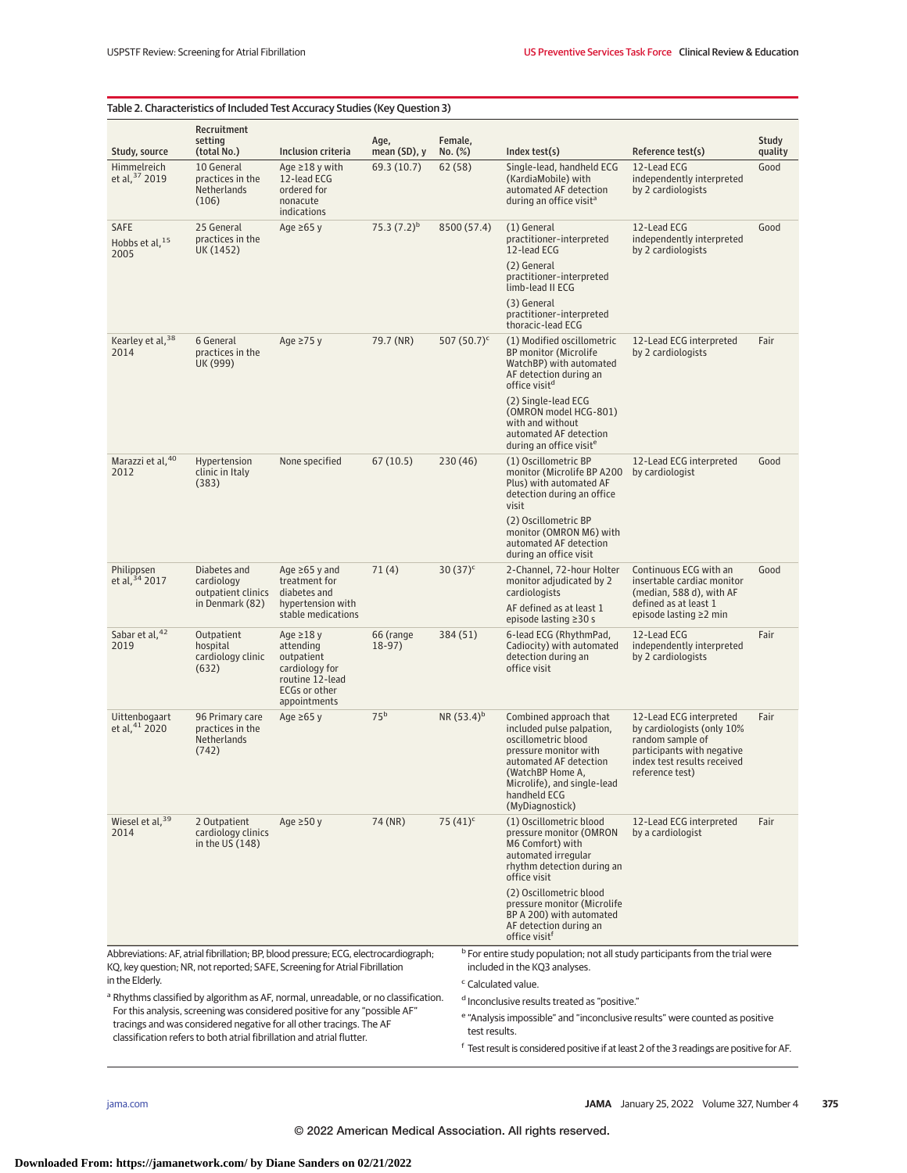|                                            |                                                                     | Table 2. Characteristics of Included Test Accuracy Studies (Key Question 3)                                                                                                                                                |                       |                    |                                |                                                                                                                                                                                                                     |                                                                                                                                                           |                  |
|--------------------------------------------|---------------------------------------------------------------------|----------------------------------------------------------------------------------------------------------------------------------------------------------------------------------------------------------------------------|-----------------------|--------------------|--------------------------------|---------------------------------------------------------------------------------------------------------------------------------------------------------------------------------------------------------------------|-----------------------------------------------------------------------------------------------------------------------------------------------------------|------------------|
| Study, source                              | Recruitment<br>setting<br>(total No.)                               | Inclusion criteria                                                                                                                                                                                                         | Age,<br>mean (SD), y  | Female.<br>No. (%) |                                | Index test(s)                                                                                                                                                                                                       | Reference test(s)                                                                                                                                         | Study<br>quality |
| Himmelreich<br>et al, 37 2019              | 10 General<br>practices in the<br>Netherlands<br>(106)              | Age $\geq$ 18 y with<br>12-lead ECG<br>ordered for<br>nonacute<br>indications                                                                                                                                              | 69.3 (10.7)           | 62(58)             |                                | Single-lead, handheld ECG<br>(KardiaMobile) with<br>automated AF detection<br>during an office visit <sup>a</sup>                                                                                                   | 12-Lead ECG<br>independently interpreted<br>by 2 cardiologists                                                                                            | Good             |
| SAFE<br>Hobbs et al. <sup>15</sup><br>2005 | 25 General<br>practices in the<br>UK (1452)                         | Age $\geq 65$ y                                                                                                                                                                                                            | 75.3 $(7.2)^b$        |                    | 8500 (57.4)                    | (1) General<br>practitioner-interpreted<br>12-lead ECG<br>(2) General<br>practitioner-interpreted<br>limb-lead II ECG<br>(3) General                                                                                | 12-Lead ECG<br>independently interpreted<br>by 2 cardiologists                                                                                            | Good             |
|                                            |                                                                     |                                                                                                                                                                                                                            |                       |                    |                                | practitioner-interpreted<br>thoracic-lead ECG                                                                                                                                                                       |                                                                                                                                                           |                  |
| Kearley et al, 38<br>2014                  | 6 General<br>practices in the<br>UK (999)                           | Age $\geq$ 75 y                                                                                                                                                                                                            | 79.7 (NR)             |                    | 507 $(50.7)^c$                 | (1) Modified oscillometric<br><b>BP</b> monitor (Microlife<br>WatchBP) with automated<br>AF detection during an<br>office visit <sup>d</sup>                                                                        | 12-Lead ECG interpreted<br>by 2 cardiologists                                                                                                             | Fair             |
|                                            |                                                                     |                                                                                                                                                                                                                            |                       |                    |                                | (2) Single-lead ECG<br>(OMRON model HCG-801)<br>with and without<br>automated AF detection<br>during an office visit <sup>e</sup>                                                                                   |                                                                                                                                                           |                  |
| Marazzi et al, 40<br>2012                  | Hypertension<br>clinic in Italy<br>(383)                            | None specified                                                                                                                                                                                                             | 67(10.5)              | 230 (46)           |                                | (1) Oscillometric BP<br>monitor (Microlife BP A200<br>Plus) with automated AF<br>detection during an office<br>visit                                                                                                | 12-Lead ECG interpreted<br>by cardiologist                                                                                                                | Good             |
|                                            |                                                                     |                                                                                                                                                                                                                            |                       |                    |                                | (2) Oscillometric BP<br>monitor (OMRON M6) with<br>automated AF detection<br>during an office visit                                                                                                                 |                                                                                                                                                           |                  |
| Philippsen<br>et al, 34 2017               | Diabetes and<br>cardiology<br>outpatient clinics<br>in Denmark (82) | Age $\geq 65$ y and<br>treatment for<br>diabetes and<br>hypertension with<br>stable medications                                                                                                                            | 71(4)                 | $30(37)^c$         |                                | 2-Channel, 72-hour Holter<br>monitor adjudicated by 2<br>cardiologists<br>AF defined as at least 1<br>episode lasting $\geq$ 30 s                                                                                   | Continuous ECG with an<br>insertable cardiac monitor<br>(median, 588 d), with AF<br>defined as at least 1<br>episode lasting ≥2 min                       | Good             |
| Sabar et al, 42<br>2019                    | Outpatient<br>hospital<br>cardiology clinic<br>(632)                | Age $\geq$ 18 y<br>attending<br>outpatient<br>cardiology for<br>routine 12-lead<br>ECGs or other<br>appointments                                                                                                           | 66 (range<br>$18-97)$ | 384 (51)           |                                | 6-lead ECG (RhythmPad,<br>Cadiocity) with automated<br>detection during an<br>office visit                                                                                                                          | 12-Lead ECG<br>independently interpreted<br>by 2 cardiologists                                                                                            | Fair             |
| Uittenbogaart<br>et al, 41 2020            | 96 Primary care<br>practices in the<br>Netherlands<br>(742)         | Age $\geq 65$ y                                                                                                                                                                                                            | 75 <sup>b</sup>       |                    | $NR(53.4)^{b}$                 | Combined approach that<br>included pulse palpation,<br>oscillometric blood<br>pressure monitor with<br>automated AF detection<br>(WatchBP Home A,<br>Microlife), and single-lead<br>handheld ECG<br>(MyDiagnostick) | 12-Lead ECG interpreted<br>by cardiologists (only 10%<br>random sample of<br>participants with negative<br>index test results received<br>reference test) | Fair             |
| Wiesel et al, 39<br>2014                   | 2 Outpatient<br>cardiology clinics<br>in the US (148)               | Age $\geq$ 50 y                                                                                                                                                                                                            | 74 (NR)               | 75 $(41)^c$        |                                | (1) Oscillometric blood<br>pressure monitor (OMRON<br>M6 Comfort) with<br>automated irregular<br>rhythm detection during an<br>office visit                                                                         | 12-Lead ECG interpreted<br>by a cardiologist                                                                                                              | Fair             |
|                                            |                                                                     |                                                                                                                                                                                                                            |                       |                    |                                | (2) Oscillometric blood<br>pressure monitor (Microlife<br>BP A 200) with automated<br>AF detection during an<br>office visit <sup>f</sup>                                                                           |                                                                                                                                                           |                  |
| in the Elderly.                            |                                                                     | Abbreviations: AF, atrial fibrillation; BP, blood pressure; ECG, electrocardiograph;<br>KQ, key question; NR, not reported; SAFE, Screening for Atrial Fibrillation                                                        |                       |                    |                                | <sup>b</sup> For entire study population; not all study participants from the trial were<br>included in the KQ3 analyses.                                                                                           |                                                                                                                                                           |                  |
|                                            |                                                                     | <sup>a</sup> Rhythms classified by algorithm as AF, normal, unreadable, or no classification.                                                                                                                              |                       |                    | <sup>c</sup> Calculated value. | d Inconclusive results treated as "positive."                                                                                                                                                                       |                                                                                                                                                           |                  |
|                                            |                                                                     | For this analysis, screening was considered positive for any "possible AF"<br>tracings and was considered negative for all other tracings. The AF<br>classification refers to both atrial fibrillation and atrial flutter. |                       |                    | test results.                  | <sup>e</sup> "Analysis impossible" and "inconclusive results" were counted as positive                                                                                                                              |                                                                                                                                                           |                  |
|                                            |                                                                     |                                                                                                                                                                                                                            |                       |                    |                                | <sup>t</sup> Test result is considered positive if at least 2 of the 3 readings are positive for AF.                                                                                                                |                                                                                                                                                           |                  |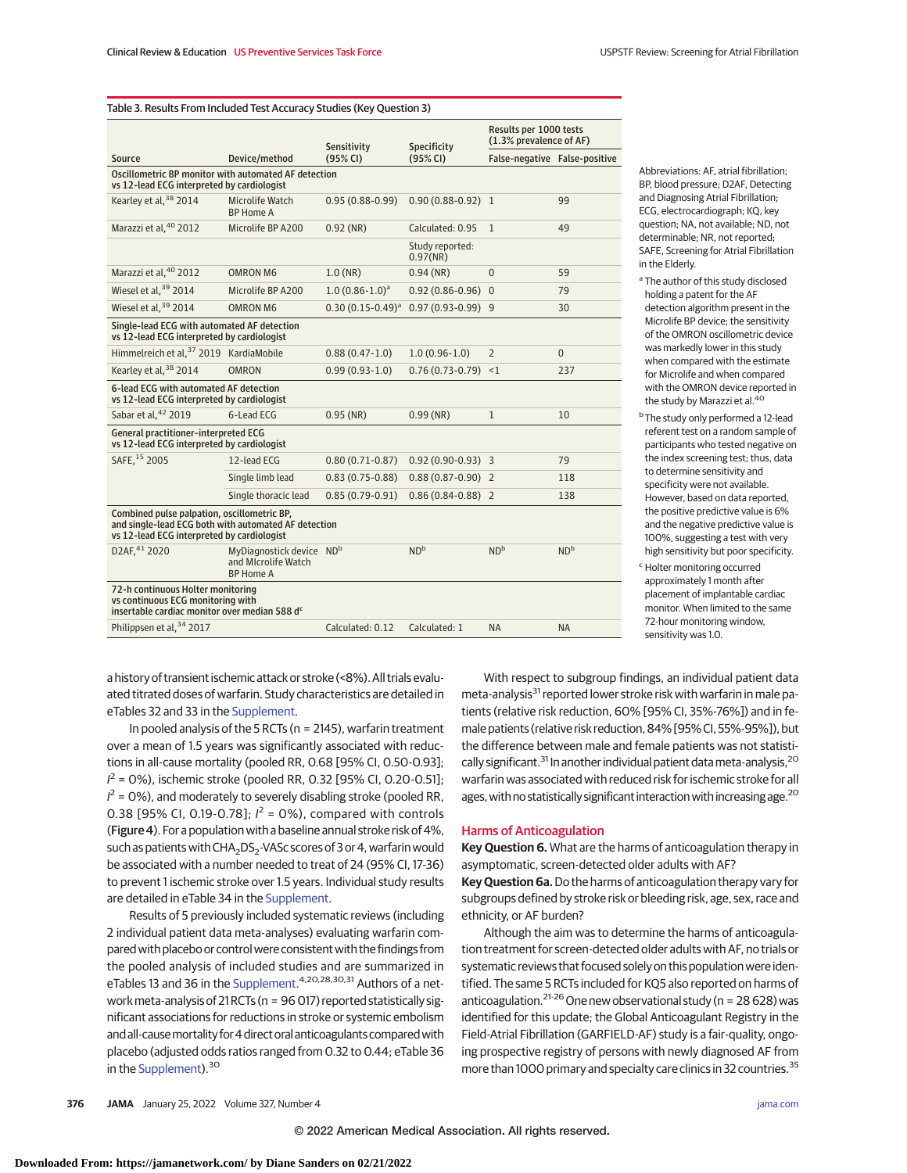|                                                                                                                                                   |                                                                     | Sensitivity           | Specificity                 | Results per 1000 tests<br>(1.3% prevalence of AF) |                 |
|---------------------------------------------------------------------------------------------------------------------------------------------------|---------------------------------------------------------------------|-----------------------|-----------------------------|---------------------------------------------------|-----------------|
| Source                                                                                                                                            | Device/method                                                       | (95% CI)              | (95% CI)                    | False-negative False-positive                     |                 |
| Oscillometric BP monitor with automated AF detection<br>vs 12-lead ECG interpreted by cardiologist                                                |                                                                     |                       |                             |                                                   |                 |
| Kearley et al, 38 2014                                                                                                                            | Microlife Watch<br><b>BP Home A</b>                                 | $0.95(0.88-0.99)$     | $0.90(0.88-0.92)$ 1         |                                                   | 99              |
| Marazzi et al, 40 2012                                                                                                                            | Microlife BP A200                                                   | $0.92$ (NR)           | Calculated: 0.95            | $\mathbf{1}$                                      | 49              |
|                                                                                                                                                   |                                                                     |                       | Study reported:<br>0.97(NR) |                                                   |                 |
| Marazzi et al. <sup>40</sup> 2012                                                                                                                 | <b>OMRON M6</b>                                                     | $1.0$ (NR)            | $0.94$ (NR)                 | $\overline{0}$                                    | 59              |
| Wiesel et al. <sup>39</sup> 2014                                                                                                                  | Microlife BP A200                                                   | $1.0(0.86 - 1.0)^a$   | $0.92(0.86 - 0.96)$ 0       |                                                   | 79              |
| Wiesel et al. <sup>39</sup> 2014                                                                                                                  | <b>OMRON M6</b>                                                     | $0.30(0.15-0.49)^{a}$ | $0.97(0.93 - 0.99)$ 9       |                                                   | 30              |
| Single-lead ECG with automated AF detection<br>vs 12-lead ECG interpreted by cardiologist                                                         |                                                                     |                       |                             |                                                   |                 |
| Himmelreich et al, 37 2019 KardiaMobile                                                                                                           |                                                                     | $0.88(0.47-1.0)$      | $1.0(0.96-1.0)$             | $\overline{2}$                                    | $\Omega$        |
| Kearley et al, 38 2014                                                                                                                            | <b>OMRON</b>                                                        | $0.99(0.93-1.0)$      | $0.76(0.73-0.79) < 1$       |                                                   | 237             |
| 6-lead ECG with automated AF detection<br>vs 12-lead ECG interpreted by cardiologist                                                              |                                                                     |                       |                             |                                                   |                 |
| Sabar et al, 42 2019                                                                                                                              | 6-Lead ECG                                                          | $0.95$ (NR)           | $0.99$ (NR)                 | $\mathbf{1}$                                      | 10              |
| General practitioner-interpreted ECG<br>vs 12-lead ECG interpreted by cardiologist                                                                |                                                                     |                       |                             |                                                   |                 |
| SAFE, 15 2005                                                                                                                                     | 12-lead ECG                                                         | $0.80(0.71 - 0.87)$   | $0.92(0.90-0.93)$ 3         |                                                   | 79              |
|                                                                                                                                                   | Single limb lead                                                    | $0.83(0.75-0.88)$     | $0.88(0.87-0.90)$ 2         |                                                   | 118             |
|                                                                                                                                                   | Single thoracic lead                                                | $0.85(0.79-0.91)$     | $0.86(0.84-0.88)$ 2         |                                                   | 138             |
| Combined pulse palpation, oscillometric BP,<br>and single-lead ECG both with automated AF detection<br>vs 12-lead ECG interpreted by cardiologist |                                                                     |                       |                             |                                                   |                 |
| D2AF, 41 2020                                                                                                                                     | MyDiagnostick device NDb<br>and Microlife Watch<br><b>BP Home A</b> |                       | ND <sup>b</sup>             | ND <sup>b</sup>                                   | ND <sup>b</sup> |
| 72-h continuous Holter monitoring<br>vs continuous ECG monitoring with<br>insertable cardiac monitor over median 588 dc                           |                                                                     |                       |                             |                                                   |                 |
| Philippsen et al, 34 2017                                                                                                                         |                                                                     | Calculated: 0.12      | Calculated: 1               | <b>NA</b>                                         | <b>NA</b>       |

Abbreviations: AF, atrial fibrillation; BP, blood pressure; D2AF, Detecting and Diagnosing Atrial Fibrillation; ECG, electrocardiograph; KQ, key question; NA, not available; ND, not determinable; NR, not reported; SAFE, Screening for Atrial Fibrillation in the Elderly.

<sup>a</sup> The author of this study disclosed holding a patent for the AF detection algorithm present in the Microlife BP device; the sensitivity of the OMRON oscillometric device was markedly lower in this study when compared with the estimate for Microlife and when compared with the OMRON device reported in the study by Marazzi et al.<sup>40</sup>

- <sup>b</sup> The study only performed a 12-lead referent test on a random sample of participants who tested negative on the index screening test; thus, data to determine sensitivity and specificity were not available. However, based on data reported, the positive predictive value is 6% and the negative predictive value is 100%, suggesting a test with very high sensitivity but poor specificity.
- <sup>c</sup> Holter monitoring occurred approximately 1 month after placement of implantable cardiac monitor. When limited to the same 72-hour monitoring window, sensitivity was 1.0.

a history of transient ischemic attack or stroke (<8%). All trials evaluated titrated doses of warfarin. Study characteristics are detailed in eTables 32 and 33 in the [Supplement.](https://jamanetwork.com/journals/jama/fullarticle/10.1001/jama.2021.21811?utm_campaign=articlePDF%26utm_medium=articlePDFlink%26utm_source=articlePDF%26utm_content=jama.2021.21811)

In pooled analysis of the 5 RCTs (n = 2145), warfarin treatment over a mean of 1.5 years was significantly associated with reductions in all-cause mortality (pooled RR, 0.68 [95% CI, 0.50-0.93];  $I^2$  = 0%), ischemic stroke (pooled RR, 0.32 [95% CI, 0.20-0.51];  $I^2$  = 0%), and moderately to severely disabling stroke (pooled RR, 0.38 [95% CI, 0.19-0.78];  $l^2 = 0$ %), compared with controls (Figure 4). For a population with a baseline annual stroke risk of 4%, such as patients with  $CHA<sub>2</sub>DS<sub>2</sub>$ -VASc scores of 3 or 4, warfarin would be associated with a number needed to treat of 24 (95% CI, 17-36) to prevent 1 ischemic stroke over 1.5 years. Individual study results are detailed in eTable 34 in the [Supplement.](https://jamanetwork.com/journals/jama/fullarticle/10.1001/jama.2021.21811?utm_campaign=articlePDF%26utm_medium=articlePDFlink%26utm_source=articlePDF%26utm_content=jama.2021.21811)

Results of 5 previously included systematic reviews (including 2 individual patient data meta-analyses) evaluating warfarin compared with placebo or control were consistent with the findings from the pooled analysis of included studies and are summarized in eTables 13 and 36 in the [Supplement.](https://jamanetwork.com/journals/jama/fullarticle/10.1001/jama.2021.21811?utm_campaign=articlePDF%26utm_medium=articlePDFlink%26utm_source=articlePDF%26utm_content=jama.2021.21811)<sup>4,20,28,30,31</sup> Authors of a networkmeta-analysis of 21 RCTs (n = 96 017) reported statistically significant associations for reductions in stroke or systemic embolism and all-cause mortality for 4 direct oral anticoagulants compared with placebo (adjusted odds ratios ranged from 0.32 to 0.44; eTable 36 in the [Supplement\)](https://jamanetwork.com/journals/jama/fullarticle/10.1001/jama.2021.21811?utm_campaign=articlePDF%26utm_medium=articlePDFlink%26utm_source=articlePDF%26utm_content=jama.2021.21811).<sup>30</sup>

With respect to subgroup findings, an individual patient data meta-analysis<sup>31</sup> reported lower stroke risk with warfarin in male patients (relative risk reduction, 60% [95% CI, 35%-76%]) and in female patients (relative risk reduction, 84% [95% CI, 55%-95%]), but the difference between male and female patients was not statistically significant.<sup>31</sup> In another individual patient data meta-analysis,  $20$ warfarin was associated with reduced risk for ischemic stroke for all ages, with no statistically significant interaction with increasing age.<sup>20</sup>

## Harms of Anticoagulation

**Key Question 6.** What are the harms of anticoagulation therapy in asymptomatic, screen-detected older adults with AF?

**Key Question 6a.**Do the harms of anticoagulation therapy vary for subgroups defined by stroke risk or bleeding risk, age, sex, race and ethnicity, or AF burden?

Although the aim was to determine the harms of anticoagulation treatment for screen-detected older adults with AF, no trials or systematic reviews that focused solely on this population were identified. The same 5 RCTs included for KQ5 also reported on harms of anticoagulation.<sup>21-26</sup> One new observational study (n = 28 628) was identified for this update; the Global Anticoagulant Registry in the Field-Atrial Fibrillation (GARFIELD-AF) study is a fair-quality, ongoing prospective registry of persons with newly diagnosed AF from more than 1000 primary and specialty care clinics in 32 countries.<sup>35</sup>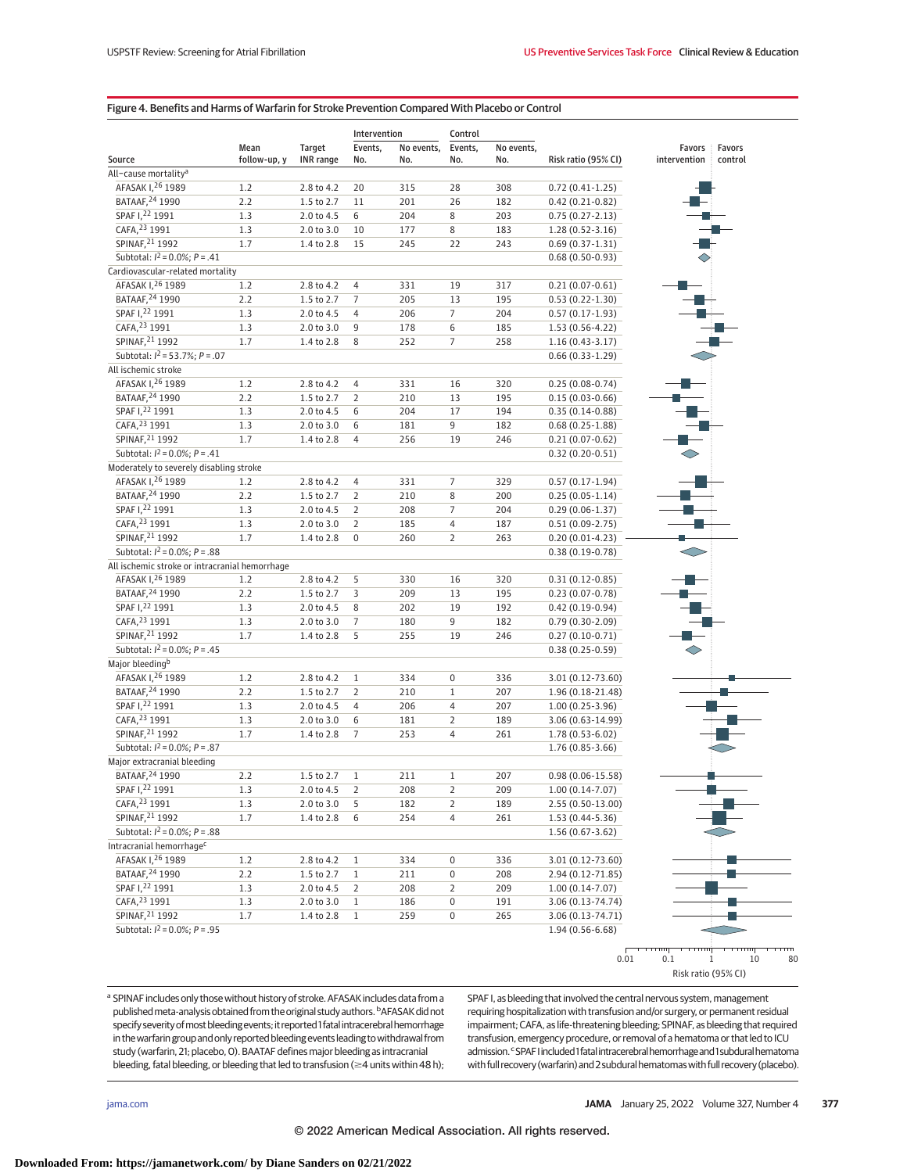# Figure 4. Benefits and Harms of Warfarin for Stroke Prevention Compared With Placebo or Control

|                                                |              |                  | Intervention   |            | Control          |            |                      |              |          |
|------------------------------------------------|--------------|------------------|----------------|------------|------------------|------------|----------------------|--------------|----------|
|                                                | Mean         | Target           | Events,        | No events, | Events,          | No events, |                      | Favors       | Favors   |
| Source                                         | follow-up, y | <b>INR</b> range | No.            | No.        | No.              | No.        | Risk ratio (95% CI)  | intervention | control  |
| All-cause mortality <sup>a</sup>               |              |                  |                |            |                  |            |                      |              |          |
| AFASAK 1,26 1989                               | 1.2          | 2.8 to 4.2       | 20             | 315        | 28               | 308        | $0.72(0.41-1.25)$    |              |          |
| BATAAF, 24 1990                                | 2.2          | 1.5 to 2.7       | 11             | 201        | 26               | 182        | $0.42(0.21-0.82)$    |              |          |
| SPAF 1,22 1991                                 | 1.3          | 2.0 to 4.5       | 6              | 204        | 8                | 203        | $0.75(0.27 - 2.13)$  |              |          |
| CAFA, 23 1991                                  | 1.3          | 2.0 to 3.0       | 10             | 177        | 8                | 183        | $1.28(0.52 - 3.16)$  |              |          |
| SPINAF, 21 1992                                | 1.7          | 1.4 to 2.8       | 15             | 245        | 22               | 243        | $0.69(0.37-1.31)$    |              |          |
| Subtotal: $l^2 = 0.0\%$ ; $P = .41$            |              |                  |                |            |                  |            | $0.68(0.50-0.93)$    |              |          |
| Cardiovascular-related mortality               |              |                  |                |            |                  |            |                      |              |          |
| AFASAK I, 26 1989                              | 1.2          | 2.8 to 4.2       | 4              | 331        | 19               | 317        | $0.21(0.07-0.61)$    |              |          |
| BATAAF, 24 1990                                | 2.2          | 1.5 to 2.7       | $\overline{7}$ | 205        | 13               | 195        | $0.53(0.22 - 1.30)$  |              |          |
| SPAF 1,22 1991                                 | 1.3          | 2.0 to 4.5       | $\overline{4}$ | 206        | $\overline{7}$   | 204        | $0.57(0.17-1.93)$    |              |          |
| CAFA, 23 1991                                  | 1.3          | 2.0 to 3.0       | 9              | 178        | 6                | 185        | $1.53(0.56-4.22)$    |              |          |
| SPINAF, 21 1992                                | 1.7          | 1.4 to 2.8       | 8              | 252        | $\overline{7}$   | 258        | $1.16(0.43-3.17)$    |              |          |
| Subtotal: $I^2 = 53.7\%$ ; $P = .07$           |              |                  |                |            |                  |            | $0.66(0.33-1.29)$    |              |          |
| All ischemic stroke                            |              |                  |                |            |                  |            |                      |              |          |
| AFASAK 1, 26 1989                              | 1.2          | 2.8 to 4.2       | $\overline{4}$ | 331        | 16               | 320        | $0.25(0.08-0.74)$    |              |          |
| BATAAF, 24 1990                                | 2.2          | 1.5 to 2.7       | $\overline{2}$ | 210        | 13               | 195        | $0.15(0.03-0.66)$    |              |          |
| SPAF 1,22 1991                                 | 1.3          | 2.0 to 4.5       | 6              | 204        | 17               | 194        | $0.35(0.14-0.88)$    |              |          |
| CAFA, 23 1991                                  | 1.3          | 2.0 to 3.0       | 6              | 181        | $\boldsymbol{9}$ | 182        | $0.68(0.25-1.88)$    |              |          |
| SPINAF, 21 1992                                | 1.7          | 1.4 to 2.8       | $\overline{4}$ | 256        | 19               | 246        | $0.21(0.07-0.62)$    |              |          |
| Subtotal: $l^2 = 0.0\%$ ; $P = .41$            |              |                  |                |            |                  |            | $0.32(0.20-0.51)$    |              |          |
| Moderately to severely disabling stroke        |              |                  |                |            |                  |            |                      |              |          |
| AFASAK I, 26 1989                              | 1.2          | 2.8 to 4.2       | 4              | 331        | $\overline{7}$   | 329        | $0.57(0.17-1.94)$    |              |          |
| BATAAF, 24 1990                                | 2.2          | 1.5 to 2.7       | $\overline{2}$ | 210        | 8                | 200        | $0.25(0.05-1.14)$    |              |          |
| SPAF 1,22 1991                                 | 1.3          | 2.0 to 4.5       | $\overline{2}$ | 208        | $\overline{7}$   | 204        | $0.29(0.06-1.37)$    |              |          |
| CAFA, 23 1991                                  | 1.3          | 2.0 to 3.0       | $\overline{2}$ | 185        | $\overline{4}$   | 187        | $0.51(0.09-2.75)$    |              |          |
| SPINAF. <sup>21</sup> 1992                     | 1.7          | 1.4 to 2.8       | $\mathbf 0$    | 260        | $\overline{2}$   | 263        | $0.20(0.01-4.23)$    |              |          |
| Subtotal: $I^2 = 0.0\%$ ; $P = .88$            |              |                  |                |            |                  |            | $0.38(0.19-0.78)$    |              |          |
| All ischemic stroke or intracranial hemorrhage |              |                  |                |            |                  |            |                      |              |          |
| AFASAK 1, 26 1989                              | 1.2          | 2.8 to 4.2       | 5              | 330        | 16               | 320        | $0.31(0.12-0.85)$    |              |          |
| BATAAF, 24 1990                                | 2.2          | 1.5 to 2.7       | 3              | 209        | 13               | 195        | $0.23(0.07-0.78)$    |              |          |
| SPAF 1,22 1991                                 | 1.3          | 2.0 to 4.5       | 8              | 202        | 19               | 192        | $0.42(0.19-0.94)$    |              |          |
| CAFA, 23 1991                                  | 1.3          | 2.0 to 3.0       | $\overline{7}$ | 180        | $\boldsymbol{9}$ | 182        | $0.79(0.30-2.09)$    |              |          |
| SPINAF, 21 1992                                | 1.7          | 1.4 to 2.8       | 5              | 255        | 19               | 246        | $0.27(0.10-0.71)$    |              |          |
| Subtotal: $I^2 = 0.0\%$ ; $P = .45$            |              |                  |                |            |                  |            | $0.38(0.25-0.59)$    |              |          |
| Major bleeding <sup>b</sup>                    |              |                  |                |            |                  |            |                      |              |          |
| AFASAK I, 26 1989                              | 1.2          | 2.8 to 4.2       | $\,1$          | 334        | $\boldsymbol{0}$ | 336        | 3.01 (0.12-73.60)    |              |          |
| BATAAF, 24 1990                                | 2.2          | 1.5 to 2.7       | $\overline{2}$ | 210        | $\,1$            | 207        | 1.96 (0.18-21.48)    |              |          |
| SPAF 1,22 1991                                 | 1.3          | 2.0 to 4.5       | $\overline{4}$ | 206        | $\overline{4}$   | 207        | $1.00(0.25-3.96)$    |              |          |
| CAFA, 23 1991                                  | 1.3          | 2.0 to 3.0       | 6              | 181        | $\overline{2}$   | 189        | 3.06 (0.63-14.99)    |              |          |
| SPINAF, 21 1992                                | 1.7          | 1.4 to 2.8       | $\overline{7}$ | 253        | $\overline{4}$   | 261        | $1.78(0.53 - 6.02)$  |              |          |
| Subtotal: $I^2 = 0.0\%$ ; $P = .87$            |              |                  |                |            |                  |            | 1.76 (0.85-3.66)     |              |          |
| Major extracranial bleeding                    |              |                  |                |            |                  |            |                      |              |          |
| BATAAF, 24 1990                                | 2.2          | 1.5 to 2.7       | $1\,$          | 211        | $1\,$            | 207        | $0.98(0.06 - 15.58)$ |              |          |
| SPAF 1, <sup>22</sup> 1991                     | 1.3          | 2.0 to 4.5       | 2              | 208        | 2                | 209        | $1.00(0.14-7.07)$    |              |          |
| CAFA, 23 1991                                  | 1.3          | 2.0 to 3.0       | 5              | 182        | $\overline{2}$   | 189        | 2.55 (0.50-13.00)    |              |          |
| SPINAF, 21 1992                                | 1.7          | 1.4 to 2.8       | 6              | 254        | 4                | 261        | $1.53(0.44-5.36)$    |              |          |
| Subtotal: $I^2 = 0.0\%$ ; $P = .88$            |              |                  |                |            |                  |            | $1.56(0.67-3.62)$    |              |          |
| Intracranial hemorrhage <sup>c</sup>           |              |                  |                |            |                  |            |                      |              |          |
| AFASAK 1,26 1989                               | 1.2          | 2.8 to 4.2       | $1\,$          | 334        | $\boldsymbol{0}$ | 336        | 3.01 (0.12-73.60)    |              |          |
| BATAAF, 24 1990                                | 2.2          | 1.5 to 2.7       | $\mathbf{1}$   | 211        | $\boldsymbol{0}$ | 208        | 2.94 (0.12-71.85)    |              |          |
| SPAF 1,22 1991                                 | 1.3          | 2.0 to 4.5       | $\overline{2}$ | 208        | $\overline{2}$   | 209        | $1.00(0.14-7.07)$    |              |          |
| CAFA, 23 1991                                  | 1.3          | 2.0 to 3.0       | $\mathbf{1}$   | 186        | $\boldsymbol{0}$ | 191        | 3.06 (0.13-74.74)    |              |          |
| SPINAF, 21 1992                                | 1.7          | 1.4 to 2.8       | $\mathbf{1}$   | 259        | $\boldsymbol{0}$ | 265        | 3.06 (0.13-74.71)    |              |          |
| Subtotal: $I^2 = 0.0\%$ ; $P = .95$            |              |                  |                |            |                  |            | $1.94(0.56-6.68)$    |              |          |
|                                                |              |                  |                |            |                  |            |                      |              |          |
|                                                |              |                  |                |            |                  |            | 0.01                 | 0.1          | 10<br>80 |

Risk ratio (95% CI)

a SPINAF includes only those without history of stroke. AFASAK includes data from a published meta-analysis obtained from the original study authors. <sup>b</sup>AFASAK did not specify severity of most bleeding events; it reported 1 fatal intracerebral hemorrhage in the warfarin group and only reported bleeding events leading to withdrawal from study (warfarin, 21; placebo, 0). BAATAF defines major bleeding as intracranial bleeding, fatal bleeding, or bleeding that led to transfusion ( $\geq$ 4 units within 48 h);

SPAF I, as bleeding that involved the central nervous system, management requiring hospitalization with transfusion and/or surgery, or permanent residual impairment; CAFA, as life-threatening bleeding; SPINAF, as bleeding that required transfusion, emergency procedure, or removal of a hematoma or that led to ICU admission. <sup>c</sup>SPAF I included 1 fatal intracerebral hemorrhage and 1 subdural hematoma with full recovery (warfarin) and 2 subdural hematomas with full recovery (placebo).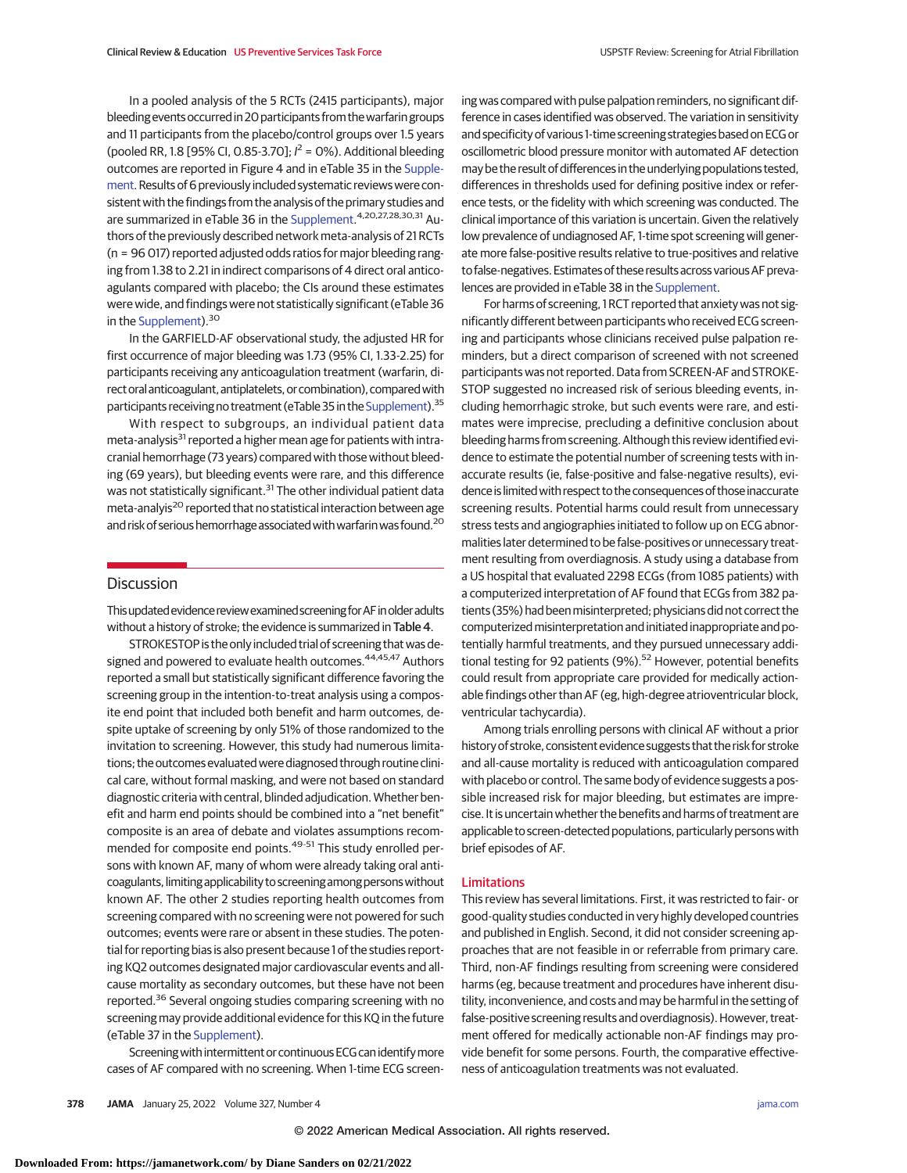In a pooled analysis of the 5 RCTs (2415 participants), major bleedingevents occurred in 20 participants from thewarfarin groups and 11 participants from the placebo/control groups over 1.5 years (pooled RR, 1.8 [95% CI, 0.85-3.70];  $l^2 = 0$ %). Additional bleeding outcomes are reported in Figure 4 and in eTable 35 in the [Supple](https://jamanetwork.com/journals/jama/fullarticle/10.1001/jama.2021.21811?utm_campaign=articlePDF%26utm_medium=articlePDFlink%26utm_source=articlePDF%26utm_content=jama.2021.21811)[ment.](https://jamanetwork.com/journals/jama/fullarticle/10.1001/jama.2021.21811?utm_campaign=articlePDF%26utm_medium=articlePDFlink%26utm_source=articlePDF%26utm_content=jama.2021.21811) Results of 6 previously included systematic reviews were consistent with the findings from the analysis of the primary studies and are summarized in eTable 36 in the [Supplement.](https://jamanetwork.com/journals/jama/fullarticle/10.1001/jama.2021.21811?utm_campaign=articlePDF%26utm_medium=articlePDFlink%26utm_source=articlePDF%26utm_content=jama.2021.21811)<sup>4,20,27,28,30,31</sup> Authors of the previously described network meta-analysis of 21 RCTs (n = 96 017) reported adjusted odds ratios for major bleeding ranging from 1.38 to 2.21 in indirect comparisons of 4 direct oral anticoagulants compared with placebo; the CIs around these estimates were wide, and findings were not statistically significant (eTable 36 in the [Supplement\)](https://jamanetwork.com/journals/jama/fullarticle/10.1001/jama.2021.21811?utm_campaign=articlePDF%26utm_medium=articlePDFlink%26utm_source=articlePDF%26utm_content=jama.2021.21811).<sup>30</sup>

In the GARFIELD-AF observational study, the adjusted HR for first occurrence of major bleeding was 1.73 (95% CI, 1.33-2.25) for participants receiving any anticoagulation treatment (warfarin, direct oral anticoagulant, antiplatelets, or combination), compared with participants receiving no treatment (eTable 35 in the [Supplement\)](https://jamanetwork.com/journals/jama/fullarticle/10.1001/jama.2021.21811?utm_campaign=articlePDF%26utm_medium=articlePDFlink%26utm_source=articlePDF%26utm_content=jama.2021.21811).35

With respect to subgroups, an individual patient data meta-analysis<sup>31</sup> reported a higher mean age for patients with intracranial hemorrhage (73 years) compared with those without bleeding (69 years), but bleeding events were rare, and this difference was not statistically significant.<sup>31</sup> The other individual patient data meta-analyis<sup>20</sup> reported that no statistical interaction between age and risk of serious hemorrhage associated with warfarin was found.<sup>20</sup>

## **Discussion**

Thisupdatedevidence reviewexaminedscreening forAFinolderadults without a history of stroke; the evidence is summarized in Table 4.

STROKESTOP is the only included trial of screening that was designed and powered to evaluate health outcomes.<sup>44,45,47</sup> Authors reported a small but statistically significant difference favoring the screening group in the intention-to-treat analysis using a composite end point that included both benefit and harm outcomes, despite uptake of screening by only 51% of those randomized to the invitation to screening. However, this study had numerous limitations; the outcomesevaluated were diagnosed through routine clinical care, without formal masking, and were not based on standard diagnostic criteria with central, blinded adjudication.Whether benefit and harm end points should be combined into a "net benefit" composite is an area of debate and violates assumptions recommended for composite end points.<sup>49-51</sup> This study enrolled persons with known AF, many of whom were already taking oral anticoagulants, limitingapplicability to screeningamong personswithout known AF. The other 2 studies reporting health outcomes from screening compared with no screening were not powered for such outcomes; events were rare or absent in these studies. The potential for reporting bias is also present because 1 of the studies reporting KQ2 outcomes designated major cardiovascular events and allcause mortality as secondary outcomes, but these have not been reported.<sup>36</sup> Several ongoing studies comparing screening with no screening may provide additional evidence for this KQ in the future (eTable 37 in the [Supplement\)](https://jamanetwork.com/journals/jama/fullarticle/10.1001/jama.2021.21811?utm_campaign=articlePDF%26utm_medium=articlePDFlink%26utm_source=articlePDF%26utm_content=jama.2021.21811).

Screening with intermittent or continuous ECG can identify more cases of AF compared with no screening. When 1-time ECG screening was compared with pulse palpation reminders, no significant difference in cases identified was observed. The variation in sensitivity and specificity of various 1-time screening strategies based on ECG or oscillometric blood pressure monitor with automated AF detection may be the result of differences in the underlying populations tested, differences in thresholds used for defining positive index or reference tests, or the fidelity with which screening was conducted. The clinical importance of this variation is uncertain. Given the relatively low prevalence of undiagnosed AF, 1-time spot screening will generate more false-positive results relative to true-positives and relative to false-negatives. Estimates of these results across various AF prevalences are provided in eTable 38 in the [Supplement.](https://jamanetwork.com/journals/jama/fullarticle/10.1001/jama.2021.21811?utm_campaign=articlePDF%26utm_medium=articlePDFlink%26utm_source=articlePDF%26utm_content=jama.2021.21811)

For harms of screening, 1 RCT reported that anxiety was not significantly different between participants who received ECG screening and participants whose clinicians received pulse palpation reminders, but a direct comparison of screened with not screened participants was not reported. Data from SCREEN-AF and STROKE-STOP suggested no increased risk of serious bleeding events, including hemorrhagic stroke, but such events were rare, and estimates were imprecise, precluding a definitive conclusion about bleeding harms from screening. Although this review identified evidence to estimate the potential number of screening tests with inaccurate results (ie, false-positive and false-negative results), evidence is limitedwith respect to the consequences of those inaccurate screening results. Potential harms could result from unnecessary stress tests and angiographies initiated to follow up on ECG abnormalities later determined to be false-positives or unnecessary treatment resulting from overdiagnosis. A study using a database from a US hospital that evaluated 2298 ECGs (from 1085 patients) with a computerized interpretation of AF found that ECGs from 382 patients (35%) had beenmisinterpreted; physicians did not correct the computerized misinterpretation and initiated inappropriate and potentially harmful treatments, and they pursued unnecessary additional testing for 92 patients  $(9\%)$ .<sup>52</sup> However, potential benefits could result from appropriate care provided for medically actionable findings other than AF (eg, high-degree atrioventricular block, ventricular tachycardia).

Among trials enrolling persons with clinical AF without a prior history of stroke, consistent evidence suggests that the risk for stroke and all-cause mortality is reduced with anticoagulation compared with placebo or control. The same body of evidence suggests a possible increased risk for major bleeding, but estimates are imprecise. It is uncertain whether the benefits and harms of treatment are applicable to screen-detected populations, particularly persons with brief episodes of AF.

## Limitations

This review has several limitations. First, it was restricted to fair- or good-quality studies conducted in very highly developed countries and published in English. Second, it did not consider screening approaches that are not feasible in or referrable from primary care. Third, non-AF findings resulting from screening were considered harms (eg, because treatment and procedures have inherent disutility, inconvenience, and costs and may be harmful in the setting of false-positive screening results and overdiagnosis). However, treatment offered for medically actionable non-AF findings may provide benefit for some persons. Fourth, the comparative effectiveness of anticoagulation treatments was not evaluated.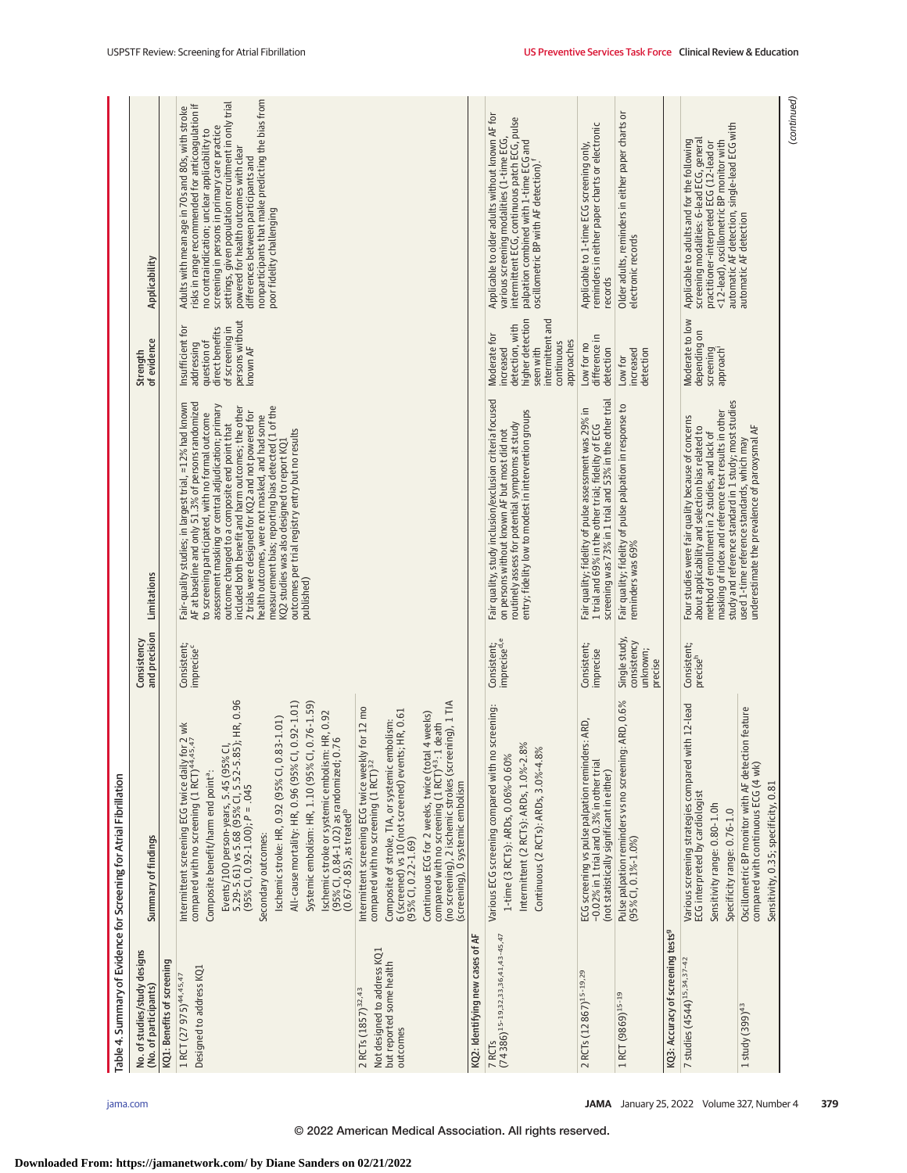|                                                                                                       | Table 4. Summary of Evidence for Screening for Atrial Fibrillation                                                                                                                                                                                                                                                                                                                                                                                                                                                                                                                                                       |                                                     |                                                                                                                                                                                                                                                                                                                                                                                                                                                                                                                                                                                                                  |                                                                                                                               |                                                                                                                                                                                                                                                                                                                                                                                                                                      |
|-------------------------------------------------------------------------------------------------------|--------------------------------------------------------------------------------------------------------------------------------------------------------------------------------------------------------------------------------------------------------------------------------------------------------------------------------------------------------------------------------------------------------------------------------------------------------------------------------------------------------------------------------------------------------------------------------------------------------------------------|-----------------------------------------------------|------------------------------------------------------------------------------------------------------------------------------------------------------------------------------------------------------------------------------------------------------------------------------------------------------------------------------------------------------------------------------------------------------------------------------------------------------------------------------------------------------------------------------------------------------------------------------------------------------------------|-------------------------------------------------------------------------------------------------------------------------------|--------------------------------------------------------------------------------------------------------------------------------------------------------------------------------------------------------------------------------------------------------------------------------------------------------------------------------------------------------------------------------------------------------------------------------------|
| No. of studies/study designs<br>(No. of participants)                                                 | Summary of findings                                                                                                                                                                                                                                                                                                                                                                                                                                                                                                                                                                                                      | and precision<br>Consistency                        | Limitations                                                                                                                                                                                                                                                                                                                                                                                                                                                                                                                                                                                                      | of evidence<br>Strength                                                                                                       | Applicability                                                                                                                                                                                                                                                                                                                                                                                                                        |
| KQ1: Benefits of screening                                                                            |                                                                                                                                                                                                                                                                                                                                                                                                                                                                                                                                                                                                                          |                                                     |                                                                                                                                                                                                                                                                                                                                                                                                                                                                                                                                                                                                                  |                                                                                                                               |                                                                                                                                                                                                                                                                                                                                                                                                                                      |
| Designed to address KQ1<br>1 RCT (27 975) <sup>44,45,47</sup>                                         | Events/100 person-years, 5.45 (95% Cl,<br>5.29-5.61) vs 5.68 (95% Cl, 5.52-5.85); HR, 0.96<br>All-cause mortality: HR, 0.96 (95% CI, 0.92-1.01)<br>Systemic embolism: HR, 1.10 (95% Cl, 0.76-1.59)<br>Ischemic stroke or systemic embolism: HR, 0.92<br>Ischemic stroke: HR, 0.92 (95% CI, 0.83-1.01)<br>Intermittent screening ECG twice daily for 2 wk<br>compared with no screening (1 RCT) <sup>44,45,47</sup><br>(95% CI, 0.84-1.02) as randomized; 0.76<br>Composite benefit/harm end point <sup>a</sup> :<br>$(95\%$ CI, 0.92-1.00); P = .045<br>$(0.67 - 0.85)$ , as treated <sup>b</sup><br>Secondary outcomes: | Consistent;<br>imprecise <sup>c</sup>               | Fair-quality studies; in largest trial, ¤12% had known<br>AF at baseline and only 51.3% of persons randomized<br>assessment masking or central adjudication; primary<br>measurement bias; reporting bias detected (1 of the<br>included both benefit and harm outcomes; the other<br>2 trials were designed for KQ2 and not powered for<br>to screening participated, with no formal outcome<br>health outcomes, were not masked, and had some<br>outcome changed to a composite end point that<br>outcomes per trial registry entry but no results<br>KQ2 studies was also designed to report KQ1<br>published) | persons without<br>Insufficient for<br>of screening in<br>direct benefits<br>question of<br>addressing<br>known AF            | nonparticipants that make predicting the bias from<br>settings, given population recruitment in only trial<br>risks in range recommended for anticoagulation if<br>Adults with mean age in 70s and 80s, with stroke<br>screening in persons in primary care practice<br>no contraindication; unclear applicability to<br>powered for health outcomes with clear<br>differences between participants and<br>poor fidelity challenging |
| Not designed to address KQ1<br>but reported some health<br>2 RCTs (1857) <sup>32,43</sup><br>outcomes | (no screening), 2 ischemic strokes (screening), 1 TIA<br>Intermittent screening ECG twice weekly for 12 mo<br>6 (screened) vs 10 (not screened) events; HR, 0.61<br>tal 4 weeks)<br>Composite of stroke, TIA, or systemic embolism:<br>compared with no screening (1 RCT) <sup>43</sup> : 1 death<br>compared with no screening (1 RCT) <sup>32</sup><br>Continuous ECG for 2 weeks, twice (to<br>(screening), 0 systemic embolism<br>$(95\%$ CI, 0.22-1.69)                                                                                                                                                             |                                                     |                                                                                                                                                                                                                                                                                                                                                                                                                                                                                                                                                                                                                  |                                                                                                                               |                                                                                                                                                                                                                                                                                                                                                                                                                                      |
| KQ2: Identifying new cases of AF                                                                      |                                                                                                                                                                                                                                                                                                                                                                                                                                                                                                                                                                                                                          |                                                     |                                                                                                                                                                                                                                                                                                                                                                                                                                                                                                                                                                                                                  |                                                                                                                               |                                                                                                                                                                                                                                                                                                                                                                                                                                      |
| $(74386)^{15-19,32,33,36,41,43-45,47}$<br>7 RCT <sub>S</sub>                                          | no screening:<br>Intermittent (2 RCTs): ARDs, 1.0%-2.8%<br>Continuous (2 RCTs): ARDs, 3.0%-4.8%<br>1-time (3 RCTs): ARDs, 0.06%-0.60%<br>Various ECG screening compared with                                                                                                                                                                                                                                                                                                                                                                                                                                             | Consistent;<br>imprecise <sup>d,e</sup>             | Fair quality, study inclusion/exclusion criteria focused<br>entry; fidelity low to modest in intervention groups<br>routinely assess for potential symptoms at study<br>on persons without known AF but most did not                                                                                                                                                                                                                                                                                                                                                                                             | higher detection<br>intermittent and<br>detection, with<br>Moderate for<br>continuous<br>approaches<br>increased<br>seen with | Applicable to older adults without known AF for<br>intermittent ECG, continuous patch ECG, pulse<br>various screening modalities (1-time ECG,<br>palpation combined with 1-time ECG and<br>oscillometric BP with AF detection). <sup>f</sup>                                                                                                                                                                                         |
| 2 RCTs (12 867) <sup>15-19,29</sup>                                                                   | ECG screening vs pulse palpation reminders: ARD,<br>-0.02% in 1 trial and 0.3% in other trial<br>(not statistically significant in either)                                                                                                                                                                                                                                                                                                                                                                                                                                                                               | Consistent;<br>imprecise                            | screening was 73% in 1 trial and 53% in the other trial<br>Fair quality; fidelity of pulse assessment was 29% in<br>1 trial and 69% in the other trial; fidelity of ECG                                                                                                                                                                                                                                                                                                                                                                                                                                          | difference in<br>Low for no<br>detection                                                                                      | reminders in either paper charts or electronic<br>Applicable to 1-time ECG screening only,<br>records                                                                                                                                                                                                                                                                                                                                |
| 1 RCT (9869) <sup>15-19</sup>                                                                         | Pulse palpation reminders vs no screening: ARD, 0.6%<br>(95% CI, 0.1%-1.0%)                                                                                                                                                                                                                                                                                                                                                                                                                                                                                                                                              | Single study,<br>consistency<br>unknown;<br>precise | Fair quality; fidelity of pulse palpation in response to<br>reminders was 69%                                                                                                                                                                                                                                                                                                                                                                                                                                                                                                                                    | increased<br>detection<br>Low for                                                                                             | Older adults, reminders in either paper charts or<br>electronic records                                                                                                                                                                                                                                                                                                                                                              |
| KQ3: Accuracy of screening tests <sup>9</sup>                                                         |                                                                                                                                                                                                                                                                                                                                                                                                                                                                                                                                                                                                                          |                                                     |                                                                                                                                                                                                                                                                                                                                                                                                                                                                                                                                                                                                                  |                                                                                                                               |                                                                                                                                                                                                                                                                                                                                                                                                                                      |
| 7 studies (4544) <sup>15,34,37-42</sup>                                                               | with 12-lead<br>Various screening strategies compared<br>ECG interpreted by cardiologist<br>Sensitivity range: 0.80-1.0h<br>Specificity range: 0.76-1.0                                                                                                                                                                                                                                                                                                                                                                                                                                                                  | Consistent;<br>precise <sup>h</sup>                 | study and reference standard in 1 study; most studies<br>masking of index and reference test results in other<br>Four studies were fair quality because of concerns<br>about applicability and selection bias related to<br>method of enrollment in 2 studies, and lack of                                                                                                                                                                                                                                                                                                                                       | Moderate to low<br>depending on<br>screening<br>approach                                                                      | automatic AF detection, single-lead ECG with<br>screening modalities: 6-lead ECG, general<br>Applicable to adults and for the following<br><12-lead), oscillometric BP monitor with<br>practitioner-interpreted ECG (12-lead or                                                                                                                                                                                                      |
| 1 study $(399)^{43}$                                                                                  | Oscillometric BP monitor with AF detection feature<br>compared with continuous ECG (4 wk)<br>Sensitivity, 0.35; specificity, 0.81                                                                                                                                                                                                                                                                                                                                                                                                                                                                                        |                                                     | underestimate the prevalence of paroxysmal AF<br>used 1-time reference standards, which may                                                                                                                                                                                                                                                                                                                                                                                                                                                                                                                      |                                                                                                                               | automatic AF detection                                                                                                                                                                                                                                                                                                                                                                                                               |

(continued) (continued)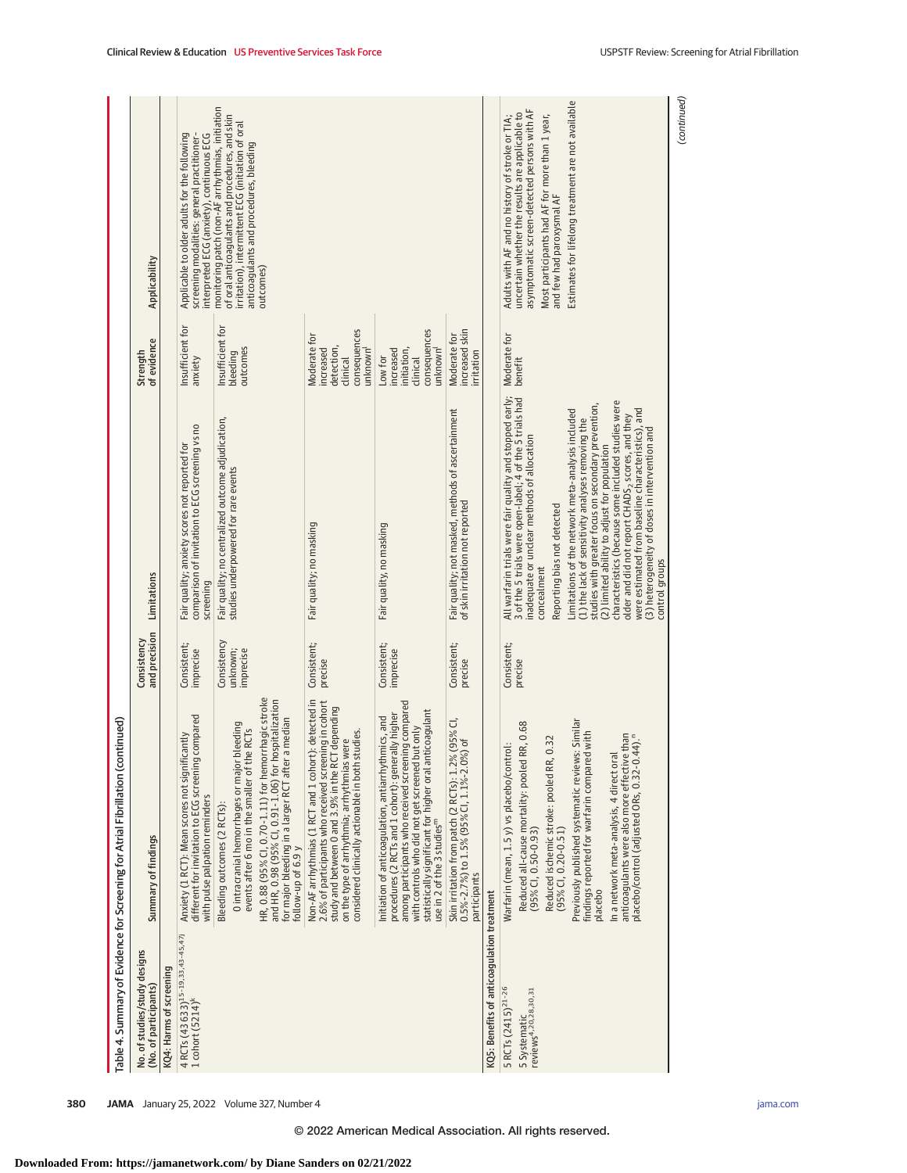|                                                                                    | Table 4. Summary of Evidence for Screening for Atrial Fibrillation (continued)                                                                                                                                                                                                                                                                                                                                                                                    |                                      |                                                                                                                                                                                                                                                                                                                                                                                                                                                                                                                                                                                                                                                                                     |                                                                                             |                                                                                                                                                                                                                                                                                         |
|------------------------------------------------------------------------------------|-------------------------------------------------------------------------------------------------------------------------------------------------------------------------------------------------------------------------------------------------------------------------------------------------------------------------------------------------------------------------------------------------------------------------------------------------------------------|--------------------------------------|-------------------------------------------------------------------------------------------------------------------------------------------------------------------------------------------------------------------------------------------------------------------------------------------------------------------------------------------------------------------------------------------------------------------------------------------------------------------------------------------------------------------------------------------------------------------------------------------------------------------------------------------------------------------------------------|---------------------------------------------------------------------------------------------|-----------------------------------------------------------------------------------------------------------------------------------------------------------------------------------------------------------------------------------------------------------------------------------------|
| No. of studies/study designs<br>(No. of participants)                              | Summary of findings                                                                                                                                                                                                                                                                                                                                                                                                                                               | and precision<br>Consistency         | Limitations                                                                                                                                                                                                                                                                                                                                                                                                                                                                                                                                                                                                                                                                         | of evidence<br>Strength                                                                     | Applicability                                                                                                                                                                                                                                                                           |
| KQ4: Harms of screening                                                            |                                                                                                                                                                                                                                                                                                                                                                                                                                                                   |                                      |                                                                                                                                                                                                                                                                                                                                                                                                                                                                                                                                                                                                                                                                                     |                                                                                             |                                                                                                                                                                                                                                                                                         |
| 4 RCTs (43 633) <sup>15-19,33,43-45,47j</sup><br>1 cohort $(5214)^{k}$             | compared<br>Anxiety (1 RCT): Mean scores not significantly<br>different for invitation to ECG screening<br>with pulse palpation reminders                                                                                                                                                                                                                                                                                                                         | Consistent;<br>imprecise             | comparison of invitation to ECG screening vs no<br>Fair quality; anxiety scores not reported for<br>screening                                                                                                                                                                                                                                                                                                                                                                                                                                                                                                                                                                       | Insufficient for<br>anxiety                                                                 | Applicable to older adults for the following<br>screening modalities: general practitioner-<br>interpreted ECG (anxiety), continuous ECG                                                                                                                                                |
|                                                                                    | O intracranial hemorrhages or major bleeding<br>events after 6 mo in the smaller of the RCTs<br>Bleeding outcomes (2 RCTs):                                                                                                                                                                                                                                                                                                                                       | Consistency<br>unknown;<br>imprecise | Fair quality; no centralized outcome adjudication,<br>studies underpowered for rare events                                                                                                                                                                                                                                                                                                                                                                                                                                                                                                                                                                                          | Insufficient for<br>outcomes<br>bleeding                                                    | monitoring patch (non-AF arrhythmias, initiation<br>of oral anticoagulants and procedures, and skin<br>irritation), intermittent ECG (initiation of oral                                                                                                                                |
|                                                                                    | HR, 0.88 (95% CI, 0.70-1.11) for hemorrhagic stroke<br>and HR, 0.98 (95% CI, 0.91-1.06) for hospitalization<br>a median<br>for major bleeding in a larger RCT after<br>follow-up of 6.9 y                                                                                                                                                                                                                                                                         |                                      |                                                                                                                                                                                                                                                                                                                                                                                                                                                                                                                                                                                                                                                                                     |                                                                                             | anticoagulants and procedures, bleeding<br>outcomes)                                                                                                                                                                                                                                    |
|                                                                                    | Non-AF arrhythmias (1 RCT and 1 cohort): detected in<br>2.6% of participants who received screening in cohort<br>study and between 0 and 3.9% in the RCT depending<br>studies.<br>on the type of arrhythmia; arrhythmias were<br>considered clinically actionable in both                                                                                                                                                                                         | Consistent;<br>precise               | Fair quality; no masking                                                                                                                                                                                                                                                                                                                                                                                                                                                                                                                                                                                                                                                            | consequences<br>Moderate for<br>detection,<br>increased<br>unknown <sup>l</sup><br>clinical |                                                                                                                                                                                                                                                                                         |
|                                                                                    | among participants who received screening compared<br>statistically significant for higher oral anticoagulant<br>procedures (2 RCTs and 1 cohort): generally higher<br>Initiation of anticoagulation, antiarrhythmics, and<br>but only<br>with controls who did not get screened<br>use in 2 of the 3 studies <sup>m</sup>                                                                                                                                        | Consistent;<br>imprecise             | Fair quality, no masking                                                                                                                                                                                                                                                                                                                                                                                                                                                                                                                                                                                                                                                            | consequences<br>unknown'<br>increased<br>initiation,<br>Low for<br>clinical                 |                                                                                                                                                                                                                                                                                         |
|                                                                                    | Skin irritation from patch (2 RCTs): 1.2% (95% CI,<br>0.5%-2.7%) to 1.5% (95% CI, 1.1%-2.0%) of<br>participants                                                                                                                                                                                                                                                                                                                                                   | Consistent;<br>precise               | Fair quality; not masked, methods of ascertainment<br>of skin irritation not reported                                                                                                                                                                                                                                                                                                                                                                                                                                                                                                                                                                                               | increased skin<br>Moderate for<br>irritation                                                |                                                                                                                                                                                                                                                                                         |
| KQ5: Benefits of anticoagulation treatment                                         |                                                                                                                                                                                                                                                                                                                                                                                                                                                                   |                                      |                                                                                                                                                                                                                                                                                                                                                                                                                                                                                                                                                                                                                                                                                     |                                                                                             |                                                                                                                                                                                                                                                                                         |
| 5 RCTs (2415) <sup>21-26</sup><br>reviews <sup>4,20,28,30,31</sup><br>5 Systematic | Previously published systematic reviews: Similar<br>findings reported for warfarin compared with<br>RR, 0.68<br>anticoagulants were also more effective than<br>$(44)$ .<br>0.32<br>Warfarin (mean, 1.5 y) vs placebo/control:<br>In a network meta-analysis, 4 direct oral<br>Reduced all-cause mortality: pooled<br>Reduced ischemic stroke: pooled RR,<br>placebo/control (adjusted ORs, 0.32-0<br>$(95\%$ CI, 0.20-0.51)<br>$(95\%$ CI, 0.50-0.93)<br>placebo | Consistent;<br>precise               | All warfarin trials were fair quality and stopped early;<br>3 of the 5 trials were open-label; 4 of the 5 trials had<br>characteristics (because some included studies were<br>studies with greater focus on secondary prevention,<br>were estimated from baseline characteristics), and<br>Limitations of the network meta-analysis included<br>older and did not report CHADS <sub>2</sub> scores, and they<br>(1) the lack of sensitivity analyses removing the<br>(3) heterogeneity of doses in intervention and<br>inadequate or unclear methods of allocation<br>(2) limited ability to adjust for population<br>Reporting bias not detected<br>control groups<br>concealment | Moderate for<br>benefit                                                                     | Estimates for lifelong treatment are not available<br>asymptomatic screen-detected persons with AF<br>uncertain whether the results are applicable to<br>Adults with AF and no history of stroke or TIA;<br>Most participants had AF for more than 1 year,<br>and few had paroxysmal AF |
|                                                                                    |                                                                                                                                                                                                                                                                                                                                                                                                                                                                   |                                      |                                                                                                                                                                                                                                                                                                                                                                                                                                                                                                                                                                                                                                                                                     |                                                                                             | (continued)                                                                                                                                                                                                                                                                             |

**Downloaded From: https://jamanetwork.com/ by Diane Sanders on 02/21/2022**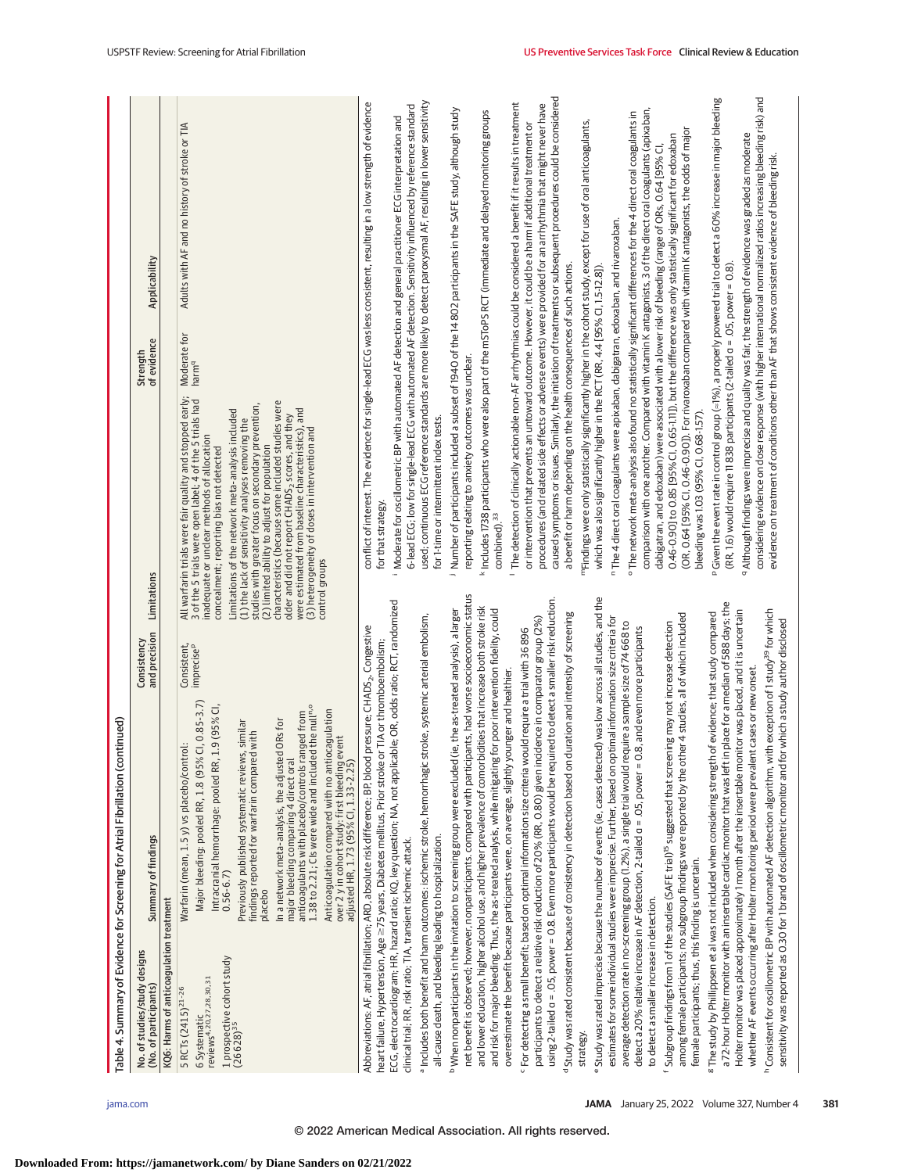|                                                                                                                                               | ntinued)<br>Table 4. Summary of Evidence for Screening for Atrial Fibrillation (co                                                                                                                                                                                                                                                                                                                                                                                                                                                                                                                                                                                       |                                                         |                                                                                                                                                                                                                                                                                                                                                                                                                                                                                                                                                                                                                                                                   |                                   |                                                                                                                                                                                                                                                                                                                                                                                                                                                                                |
|-----------------------------------------------------------------------------------------------------------------------------------------------|--------------------------------------------------------------------------------------------------------------------------------------------------------------------------------------------------------------------------------------------------------------------------------------------------------------------------------------------------------------------------------------------------------------------------------------------------------------------------------------------------------------------------------------------------------------------------------------------------------------------------------------------------------------------------|---------------------------------------------------------|-------------------------------------------------------------------------------------------------------------------------------------------------------------------------------------------------------------------------------------------------------------------------------------------------------------------------------------------------------------------------------------------------------------------------------------------------------------------------------------------------------------------------------------------------------------------------------------------------------------------------------------------------------------------|-----------------------------------|--------------------------------------------------------------------------------------------------------------------------------------------------------------------------------------------------------------------------------------------------------------------------------------------------------------------------------------------------------------------------------------------------------------------------------------------------------------------------------|
| No. of studies/study designs<br>(No. of participants)                                                                                         | Summary of findings                                                                                                                                                                                                                                                                                                                                                                                                                                                                                                                                                                                                                                                      | Limitations<br>and precision<br>Consistency             |                                                                                                                                                                                                                                                                                                                                                                                                                                                                                                                                                                                                                                                                   | Strength<br>of evidence           | Applicability                                                                                                                                                                                                                                                                                                                                                                                                                                                                  |
| KQ6: Harms of anticoagulation treatment                                                                                                       |                                                                                                                                                                                                                                                                                                                                                                                                                                                                                                                                                                                                                                                                          |                                                         |                                                                                                                                                                                                                                                                                                                                                                                                                                                                                                                                                                                                                                                                   |                                   |                                                                                                                                                                                                                                                                                                                                                                                                                                                                                |
| 1 prospective cohort study<br>(26 628) <sup>35</sup><br>6 Systematic<br>reviews <sup>4,20,27,28,30,31</sup><br>5 RCTs (2415) <sup>21-26</sup> | $CI, 0.85 - 3.7$<br>1.38 to 2.21; CIs were wide and included the null <sup>n.o</sup><br>1.9 (95% CI<br>Anticoagulation compared with no antiocagulation<br>major bleeding comparing 4 direct oral<br>anticoagulants with placebo/controls ranged from<br>In a network meta-analysis, the adjusted ORs for<br>Previously published systematic reviews, similar<br>findings reported for warfarin compared with<br>over 2 y in cohort study: first bleeding event<br>adjusted HR, 1.73 (95% CI, 1.33-2.25)<br>Warfarin (mean, 1.5 y) vs placebo/control:<br>Major bleeding: pooled RR, 1.8 (95%<br>Intracranial hemorrhage: pooled RR,<br>$0.56 - 6.7$<br>placebo          | control groups<br>Consistent,<br>imprecise <sup>p</sup> | All warfarin trials were fair quality and stopped early;<br>3 of the 5 trials were open label; 4 of the 5 trials had<br>characteristics (because some included studies were<br>studies with greater focus on secondary prevention,<br>were estimated from baseline characteristics), and<br>Limitations of the network meta-analysis included<br>older and did not report CHADS <sub>2</sub> , scores, and they<br>(1) the lack of sensitivity analyses removing the<br>(3) heterogeneity of doses in intervention and<br>inadequate or unclear methods of allocation<br>(2) limited ability to adjust for population<br>concealment; reporting bias not detected | Moderate for<br>harm <sup>q</sup> | Adults with AF and no history of stroke or TIA                                                                                                                                                                                                                                                                                                                                                                                                                                 |
| clinical trial; RR, risk ratio; TIA, transient ischemic attack.                                                                               | ECG, electrocardiogram; HR, hazard ratio; KQ, key question; NA, not applicable; OR, odds ratio; RCT, randomized<br>a includes both benefit and harm outcomes: ischemic stroke, hemorrhagic stroke, systemic arterial embolism,<br>Abbreviations: AF, atrial fibrillation; ARD, absolute risk difference; BP, blood pressure; CHADS <sub>2</sub> , Congestive<br>heart failure, Hypertension, Age ≥75 years, Diabetes mellitus, Prior stroke or TIA or thromboembolism;                                                                                                                                                                                                   |                                                         | for that strategy.<br><u></u>                                                                                                                                                                                                                                                                                                                                                                                                                                                                                                                                                                                                                                     |                                   | used : continuous ECG reference standards are more likely to detect paroxysmal AF, resulting in lower sensitivity<br>conflict of interest. The evidence for single-lead ECG was less consistent, resulting in a low strength of evidence<br>6-lead ECG; low for single-lead ECG with automated AF detection. Sensitivity influenced by reference standard<br>Moderate for oscillometric BP with automated AF detection and general practitioner ECG interpretation and         |
| all-cause death, and bleeding leading to hospitalization.                                                                                     | net benefit is observed; however, nonparticipants. compared with participants, had worse socioeconomic status<br>PWhen nonparticipants in the invitation to screening group were excluded (ie, the as-treated analysis), a larger                                                                                                                                                                                                                                                                                                                                                                                                                                        |                                                         | reporting relating to anxiety outcomes was unclear.<br>for 1-time or intermittent index tests.<br>$\overline{\phantom{0}}$                                                                                                                                                                                                                                                                                                                                                                                                                                                                                                                                        |                                   | Number of participants included a subset of 1940 of the 14 802 participants in the SAFE study, although study                                                                                                                                                                                                                                                                                                                                                                  |
|                                                                                                                                               | and lower education, higher alcohol use, and higher prevalence of comorbidities that increase both stroke risk<br>and risk for major bleeding. Thus, the as-treated analysis, while mitigating for poor intervention fidelity, could                                                                                                                                                                                                                                                                                                                                                                                                                                     |                                                         | combined). <sup>33</sup>                                                                                                                                                                                                                                                                                                                                                                                                                                                                                                                                                                                                                                          |                                   | k Includes 1738 participants who were also part of the mSToPS RCT (immediate and delayed monitoring groups                                                                                                                                                                                                                                                                                                                                                                     |
|                                                                                                                                               | using 2-tailed a = .05, power = 0.8. Even more participants would be required to detect a smaller risk reduction.<br>Study was rated consistent because of consistency in detection based on duration and intensity of screening<br>participants to detect a relative risk reduction of 20% (RR, 0.80) given incidence in comparator group (2%)<br><sup>c</sup> For detecting a small benefit; based on optimal information size criteria would require a trial with 36 896<br>overestimate the benefit because participants were, on average, slightly younger and healthier.                                                                                           |                                                         | a benefit or harm depending on the health consequences of such actions.                                                                                                                                                                                                                                                                                                                                                                                                                                                                                                                                                                                           |                                   | caused symptoms or issues. Similarly, the initiation of treatments or subsequent procedures could be considered<br>$^{\sf I}$ The detection of clinically actionable non-AF arrhythmias could be considered a benefit if it results in treatment<br>procedures (and related side effects or adverse events) were provided for an arrhythmia that might never have<br>or intervention that prevents an untoward outcome. However, it could be a harm if additional treatment or |
| strategy.                                                                                                                                     | Study was rated imprecise because the number of events (ie, cases detected) was low across all studies, and the<br>estimates for some individual studies were imprecise. Further, based on optimal information size criteria for                                                                                                                                                                                                                                                                                                                                                                                                                                         |                                                         | <sup>n</sup> The 4 direct oral coagulants were apixaban, dabigatran, edoxaban, and rivaroxaban.<br>which was also significantly higher in the RCT (RR, 4.4 [95% Cl, 1.5-12.8]).                                                                                                                                                                                                                                                                                                                                                                                                                                                                                   |                                   | "TFindings were only statistically significantly higher in the cohort study, except for use of oral anticoagulants,                                                                                                                                                                                                                                                                                                                                                            |
| female participants; thus, this finding is uncertain.<br>to detect a smaller increase in detection.                                           | among female participants; no subgroup findings were reported by the other 4 studies, all of which included<br>average detection rate in no-screening group (1.2%), a single trial would require a sample size of 74 668 to<br>Subgroup findings from 1 of the studies (SAFE trial) <sup>15</sup> suggested that screening may not increase detection<br>detect a 20% relative increase in AF detection, 2-tailed a = .05, power = 0                                                                                                                                                                                                                                     | .8, and even more participants                          | 0.46-0.90] to 0.85 [95% CI, 0.65-111]), but the difference was only statistically significant for edoxaban<br>dabigatran, and edoxaban) were associated with a lower risk of bleeding (range of ORs, 0.64 [95% CI,<br>bleeding was 1.03 (95% CI, 0.68-1.57).                                                                                                                                                                                                                                                                                                                                                                                                      |                                   | comparison with one another. Compared with vitamin K antagonists, 3 of the direct oral coagulants (apixaban,<br>o The network meta-analysis also found no statistically significant differences for the 4 direct oral coagulants in<br>(OR, 0.64 [95% Cl, 0.46-0.90]). For rivaroxaban compared with vitamin K antagonists, the odds of major                                                                                                                                  |
|                                                                                                                                               | a 72-hour Holter monitor with an insertable cardiac monitor that was left in place for a median of 588 days; the<br>hConsistent for oscillometric BP with automated AF detection algorithm, with exception of 1 study <sup>39</sup> for which<br>Holter monitor was placed approximately 1 month after the insertable monitor was placed, and it is uncertain<br>sensitivity was reported as 0.30 for 1 brand of oscillometric monitor and for which a study author disclosed<br>whether AF events occurring after Holter monitoring period were prevalent cases or new onset.<br><sup>8</sup> The study by Phillippsen et al was not included when considering strength | of evidence; that study compared                        | a Although findings were imprecise and quality was fair, the strength of evidence was graded as moderate<br>evidence on treatment of conditions other than AF that shows consistent evidence of bleeding risk.<br>(RR, 1.6) would require 11 838 participants (2-tailed a = .05, power = 0.8).                                                                                                                                                                                                                                                                                                                                                                    |                                   | considering evidence on dose response (with higher international normalized ratios increasing bleeding risk) and<br>Given the event rate in control group (=1%), a properly powered trial to detect a 60% increase in major bleeding                                                                                                                                                                                                                                           |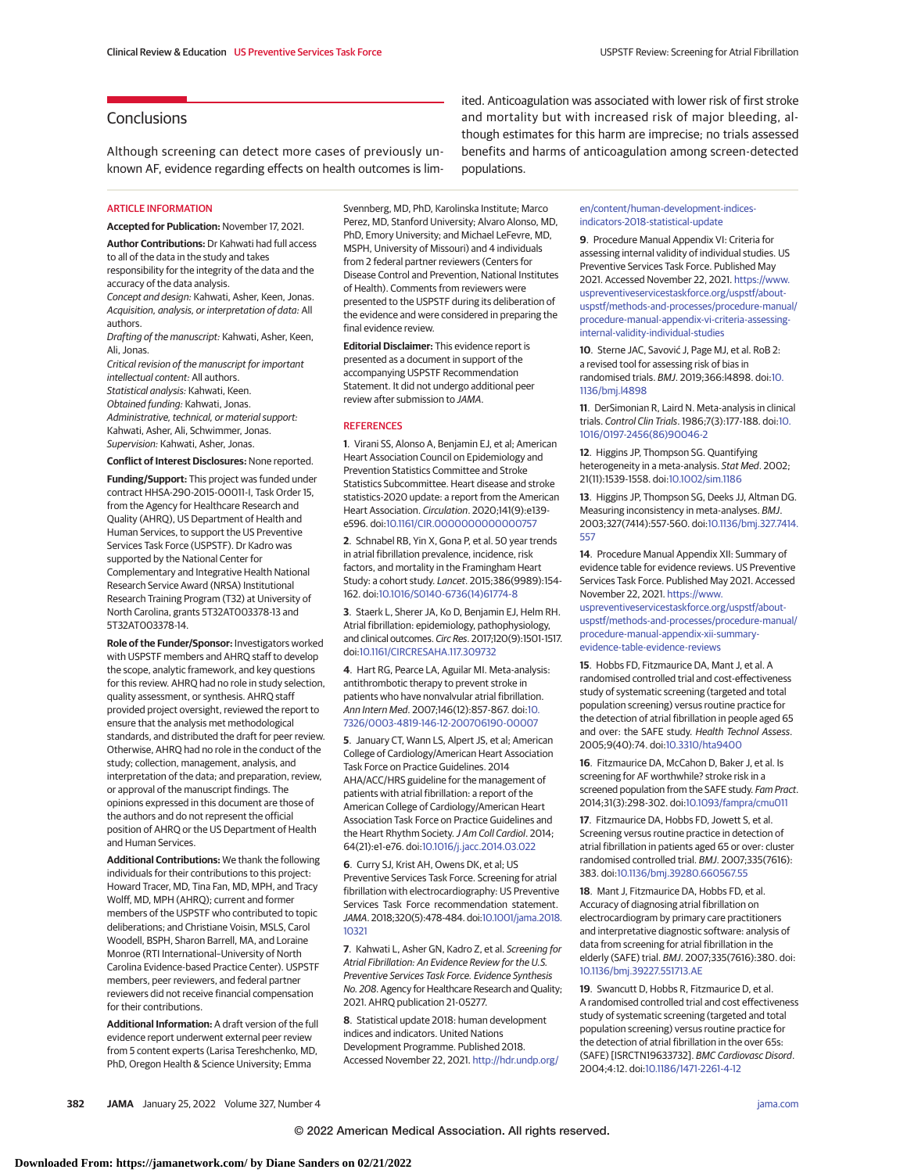# **Conclusions**

Although screening can detect more cases of previously unknown AF, evidence regarding effects on health outcomes is lim-

ARTICLE INFORMATION

**Accepted for Publication:** November 17, 2021.

**Author Contributions:** Dr Kahwati had full access to all of the data in the study and takes responsibility for the integrity of the data and the

accuracy of the data analysis. Concept and design: Kahwati, Asher, Keen, Jonas. Acquisition, analysis, or interpretation of data: All authors.

Drafting of the manuscript: Kahwati, Asher, Keen, Ali, Jonas.

Critical revision of the manuscript for important intellectual content: All authors. Statistical analysis: Kahwati, Keen. Obtained funding: Kahwati, Jonas. Administrative, technical, or material support: Kahwati, Asher, Ali, Schwimmer, Jonas. Supervision: Kahwati, Asher, Jonas.

**Conflict of Interest Disclosures:** None reported.

**Funding/Support:** This project was funded under contract HHSA-290-2015-00011-I, Task Order 15, from the Agency for Healthcare Research and Quality (AHRQ), US Department of Health and Human Services, to support the US Preventive Services Task Force (USPSTF). Dr Kadro was supported by the National Center for Complementary and Integrative Health National Research Service Award (NRSA) Institutional Research Training Program (T32) at University of North Carolina, grants 5T32AT003378-13 and 5T32AT003378-14.

**Role of the Funder/Sponsor:** Investigators worked with USPSTF members and AHRQ staff to develop the scope, analytic framework, and key questions for this review. AHRQ had no role in study selection, quality assessment, or synthesis. AHRQ staff provided project oversight, reviewed the report to ensure that the analysis met methodological standards, and distributed the draft for peer review. Otherwise, AHRQ had no role in the conduct of the study; collection, management, analysis, and interpretation of the data; and preparation, review, or approval of the manuscript findings. The opinions expressed in this document are those of the authors and do not represent the official position of AHRQ or the US Department of Health and Human Services.

**Additional Contributions:** We thank the following individuals for their contributions to this project: Howard Tracer, MD, Tina Fan, MD, MPH, and Tracy Wolff, MD, MPH (AHRQ); current and former members of the USPSTF who contributed to topic deliberations; and Christiane Voisin, MSLS, Carol Woodell, BSPH, Sharon Barrell, MA, and Loraine Monroe (RTI International–University of North Carolina Evidence-based Practice Center). USPSTF members, peer reviewers, and federal partner reviewers did not receive financial compensation for their contributions.

**Additional Information:** A draft version of the full evidence report underwent external peer review from 5 content experts (Larisa Tereshchenko, MD, PhD, Oregon Health & Science University; Emma

Svennberg, MD, PhD, Karolinska Institute; Marco Perez, MD, Stanford University; Alvaro Alonso, MD, PhD, Emory University; and Michael LeFevre, MD, MSPH, University of Missouri) and 4 individuals from 2 federal partner reviewers (Centers for Disease Control and Prevention, National Institutes of Health). Comments from reviewers were presented to the USPSTF during its deliberation of the evidence and were considered in preparing the final evidence review.

**Editorial Disclaimer:** This evidence report is presented as a document in support of the accompanying USPSTF Recommendation Statement. It did not undergo additional peer review after submission to JAMA.

#### **REFERENCES**

**1**. Virani SS, Alonso A, Benjamin EJ, et al; American Heart Association Council on Epidemiology and Prevention Statistics Committee and Stroke Statistics Subcommittee. Heart disease and stroke statistics-2020 update: a report from the American Heart Association. Circulation. 2020;141(9):e139 e596. doi[:10.1161/CIR.0000000000000757](https://dx.doi.org/10.1161/CIR.0000000000000757)

**2**. Schnabel RB, Yin X, Gona P, et al. 50 year trends in atrial fibrillation prevalence, incidence, risk factors, and mortality in the Framingham Heart Study: a cohort study. Lancet. 2015;386(9989):154- 162. doi[:10.1016/S0140-6736\(14\)61774-8](https://dx.doi.org/10.1016/S0140-6736(14)61774-8)

**3**. Staerk L, Sherer JA, Ko D, Benjamin EJ, Helm RH. Atrial fibrillation: epidemiology, pathophysiology, and clinical outcomes. Circ Res. 2017;120(9):1501-1517. doi[:10.1161/CIRCRESAHA.117.309732](https://dx.doi.org/10.1161/CIRCRESAHA.117.309732)

**4**. Hart RG, Pearce LA, Aguilar MI. Meta-analysis: antithrombotic therapy to prevent stroke in patients who have nonvalvular atrial fibrillation. Ann Intern Med. 2007;146(12):857-867. doi[:10.](https://dx.doi.org/10.7326/0003-4819-146-12-200706190-00007) [7326/0003-4819-146-12-200706190-00007](https://dx.doi.org/10.7326/0003-4819-146-12-200706190-00007)

**5**. January CT, Wann LS, Alpert JS, et al; American College of Cardiology/American Heart Association Task Force on Practice Guidelines. 2014 AHA/ACC/HRS guideline for the management of patients with atrial fibrillation: a report of the American College of Cardiology/American Heart Association Task Force on Practice Guidelines and the Heart Rhythm Society. J Am Coll Cardiol. 2014; 64(21):e1-e76. doi[:10.1016/j.jacc.2014.03.022](https://dx.doi.org/10.1016/j.jacc.2014.03.022)

**6**. Curry SJ, Krist AH, Owens DK, et al; US Preventive Services Task Force. Screening for atrial fibrillation with electrocardiography: US Preventive Services Task Force recommendation statement. JAMA. 2018;320(5):478-484. doi[:10.1001/jama.2018.](https://jamanetwork.com/journals/jama/fullarticle/10.1001/jama.2018.10321?utm_campaign=articlePDF%26utm_medium=articlePDFlink%26utm_source=articlePDF%26utm_content=jama.2021.21811) [10321](https://jamanetwork.com/journals/jama/fullarticle/10.1001/jama.2018.10321?utm_campaign=articlePDF%26utm_medium=articlePDFlink%26utm_source=articlePDF%26utm_content=jama.2021.21811)

**7**. Kahwati L, Asher GN, Kadro Z, et al. Screening for Atrial Fibrillation: An Evidence Review for the U.S. Preventive Services Task Force. Evidence Synthesis No. 208. Agency for Healthcare Research and Quality; 2021. AHRQ publication 21-05277.

**8**. Statistical update 2018: human development indices and indicators. United Nations Development Programme. Published 2018. Accessed November 22, 2021. [http://hdr.undp.org/](http://hdr.undp.org/en/content/human-development-indices-indicators-2018-statistical-update)

and mortality but with increased risk of major bleeding, although estimates for this harm are imprecise; no trials assessed benefits and harms of anticoagulation among screen-detected populations.

ited. Anticoagulation was associated with lower risk of first stroke

[en/content/human-development-indices](http://hdr.undp.org/en/content/human-development-indices-indicators-2018-statistical-update)[indicators-2018-statistical-update](http://hdr.undp.org/en/content/human-development-indices-indicators-2018-statistical-update)

**9**. Procedure Manual Appendix VI: Criteria for assessing internal validity of individual studies. US Preventive Services Task Force. Published May 2021. Accessed November 22, 2021. [https://www.](https://www.uspreventiveservicestaskforce.org/uspstf/about-uspstf/methods-and-processes/procedure-manual/procedure-manual-appendix-vi-criteria-assessing-internal-validity-individual-studies) [uspreventiveservicestaskforce.org/uspstf/about](https://www.uspreventiveservicestaskforce.org/uspstf/about-uspstf/methods-and-processes/procedure-manual/procedure-manual-appendix-vi-criteria-assessing-internal-validity-individual-studies)[uspstf/methods-and-processes/procedure-manual/](https://www.uspreventiveservicestaskforce.org/uspstf/about-uspstf/methods-and-processes/procedure-manual/procedure-manual-appendix-vi-criteria-assessing-internal-validity-individual-studies) [procedure-manual-appendix-vi-criteria-assessing](https://www.uspreventiveservicestaskforce.org/uspstf/about-uspstf/methods-and-processes/procedure-manual/procedure-manual-appendix-vi-criteria-assessing-internal-validity-individual-studies)[internal-validity-individual-studies](https://www.uspreventiveservicestaskforce.org/uspstf/about-uspstf/methods-and-processes/procedure-manual/procedure-manual-appendix-vi-criteria-assessing-internal-validity-individual-studies)

**10**. Sterne JAC, Savović J, Page MJ, et al. RoB 2: a revised tool for assessing risk of bias in randomised trials. BMJ. 2019;366:l4898. doi[:10.](https://dx.doi.org/10.1136/bmj.l4898) [1136/bmj.l4898](https://dx.doi.org/10.1136/bmj.l4898)

**11**. DerSimonian R, Laird N. Meta-analysis in clinical trials. Control Clin Trials. 1986;7(3):177-188. doi[:10.](https://dx.doi.org/10.1016/0197-2456(86)90046-2) [1016/0197-2456\(86\)90046-2](https://dx.doi.org/10.1016/0197-2456(86)90046-2)

**12**. Higgins JP, Thompson SG. Quantifying heterogeneity in a meta-analysis. Stat Med. 2002; 21(11):1539-1558. doi[:10.1002/sim.1186](https://dx.doi.org/10.1002/sim.1186)

**13**. Higgins JP, Thompson SG, Deeks JJ, Altman DG. Measuring inconsistency in meta-analyses. BMJ. 2003;327(7414):557-560. doi[:10.1136/bmj.327.7414.](https://dx.doi.org/10.1136/bmj.327.7414.557) [557](https://dx.doi.org/10.1136/bmj.327.7414.557)

**14**. Procedure Manual Appendix XII: Summary of evidence table for evidence reviews. US Preventive Services Task Force. Published May 2021. Accessed November 22, 2021. [https://www.](https://www.uspreventiveservicestaskforce.org/uspstf/about-uspstf/methods-and-processes/procedure-manual/procedure-manual-appendix-xii-summary-evidence-table-evidence-reviews)

[uspreventiveservicestaskforce.org/uspstf/about](https://www.uspreventiveservicestaskforce.org/uspstf/about-uspstf/methods-and-processes/procedure-manual/procedure-manual-appendix-xii-summary-evidence-table-evidence-reviews)[uspstf/methods-and-processes/procedure-manual/](https://www.uspreventiveservicestaskforce.org/uspstf/about-uspstf/methods-and-processes/procedure-manual/procedure-manual-appendix-xii-summary-evidence-table-evidence-reviews) [procedure-manual-appendix-xii-summary](https://www.uspreventiveservicestaskforce.org/uspstf/about-uspstf/methods-and-processes/procedure-manual/procedure-manual-appendix-xii-summary-evidence-table-evidence-reviews)[evidence-table-evidence-reviews](https://www.uspreventiveservicestaskforce.org/uspstf/about-uspstf/methods-and-processes/procedure-manual/procedure-manual-appendix-xii-summary-evidence-table-evidence-reviews)

**15**. Hobbs FD, Fitzmaurice DA, Mant J, et al. A randomised controlled trial and cost-effectiveness study of systematic screening (targeted and total population screening) versus routine practice for the detection of atrial fibrillation in people aged 65 and over: the SAFE study. Health Technol Assess. 2005;9(40):74. doi[:10.3310/hta9400](https://dx.doi.org/10.3310/hta9400)

**16**. Fitzmaurice DA, McCahon D, Baker J, et al. Is screening for AF worthwhile? stroke risk in a screened population from the SAFE study. Fam Pract. 2014;31(3):298-302. doi[:10.1093/fampra/cmu011](https://dx.doi.org/10.1093/fampra/cmu011)

**17**. Fitzmaurice DA, Hobbs FD, Jowett S, et al. Screening versus routine practice in detection of atrial fibrillation in patients aged 65 or over: cluster randomised controlled trial. BMJ. 2007;335(7616): 383. doi[:10.1136/bmj.39280.660567.55](https://dx.doi.org/10.1136/bmj.39280.660567.55)

**18**. Mant J, Fitzmaurice DA, Hobbs FD, et al. Accuracy of diagnosing atrial fibrillation on electrocardiogram by primary care practitioners and interpretative diagnostic software: analysis of data from screening for atrial fibrillation in the elderly (SAFE) trial. BMJ. 2007;335(7616):380. doi: [10.1136/bmj.39227.551713.AE](https://dx.doi.org/10.1136/bmj.39227.551713.AE)

**19**. Swancutt D, Hobbs R, Fitzmaurice D, et al. A randomised controlled trial and cost effectiveness study of systematic screening (targeted and total population screening) versus routine practice for the detection of atrial fibrillation in the over 65s: (SAFE) [ISRCTN19633732]. BMC Cardiovasc Disord. 2004;4:12. doi[:10.1186/1471-2261-4-12](https://dx.doi.org/10.1186/1471-2261-4-12)